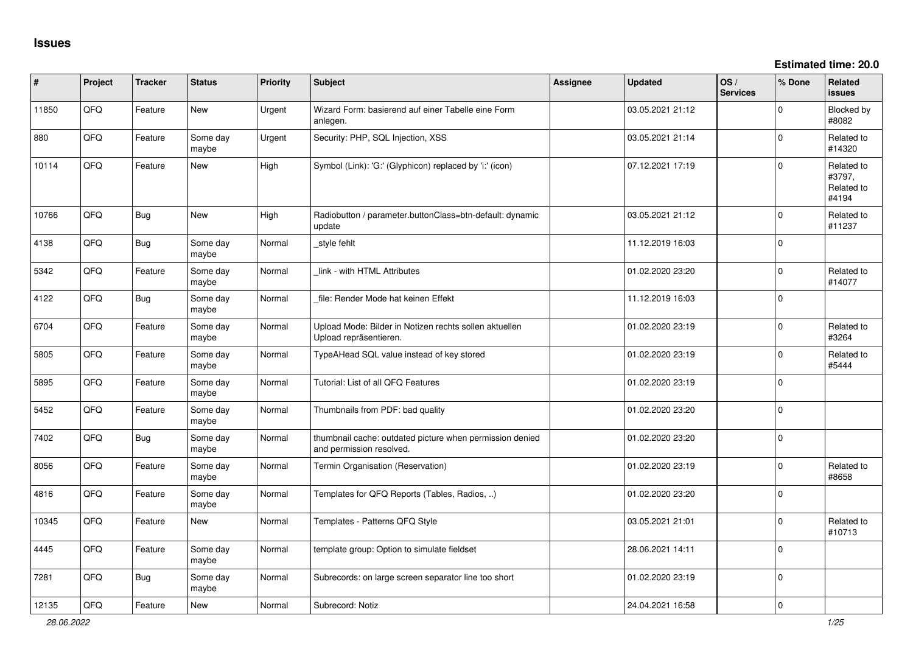| ∦     | Project | <b>Tracker</b> | <b>Status</b>     | Priority | <b>Subject</b>                                                                       | <b>Assignee</b> | <b>Updated</b>   | OS/<br><b>Services</b> | % Done       | <b>Related</b><br>issues                    |
|-------|---------|----------------|-------------------|----------|--------------------------------------------------------------------------------------|-----------------|------------------|------------------------|--------------|---------------------------------------------|
| 11850 | QFQ     | Feature        | <b>New</b>        | Urgent   | Wizard Form: basierend auf einer Tabelle eine Form<br>anlegen.                       |                 | 03.05.2021 21:12 |                        | $\Omega$     | Blocked by<br>#8082                         |
| 880   | QFQ     | Feature        | Some day<br>maybe | Urgent   | Security: PHP, SQL Injection, XSS                                                    |                 | 03.05.2021 21:14 |                        | $\Omega$     | Related to<br>#14320                        |
| 10114 | QFQ     | Feature        | <b>New</b>        | High     | Symbol (Link): 'G:' (Glyphicon) replaced by 'i:' (icon)                              |                 | 07.12.2021 17:19 |                        | $\Omega$     | Related to<br>#3797,<br>Related to<br>#4194 |
| 10766 | QFQ     | <b>Bug</b>     | <b>New</b>        | High     | Radiobutton / parameter.buttonClass=btn-default: dynamic<br>update                   |                 | 03.05.2021 21:12 |                        | $\mathbf 0$  | Related to<br>#11237                        |
| 4138  | QFQ     | Bug            | Some day<br>maybe | Normal   | style fehlt                                                                          |                 | 11.12.2019 16:03 |                        | $\mathbf 0$  |                                             |
| 5342  | QFQ     | Feature        | Some day<br>maybe | Normal   | link - with HTML Attributes                                                          |                 | 01.02.2020 23:20 |                        | $\Omega$     | Related to<br>#14077                        |
| 4122  | QFQ     | Bug            | Some day<br>maybe | Normal   | file: Render Mode hat keinen Effekt                                                  |                 | 11.12.2019 16:03 |                        | $\Omega$     |                                             |
| 6704  | QFQ     | Feature        | Some day<br>maybe | Normal   | Upload Mode: Bilder in Notizen rechts sollen aktuellen<br>Upload repräsentieren.     |                 | 01.02.2020 23:19 |                        | $\Omega$     | Related to<br>#3264                         |
| 5805  | QFQ     | Feature        | Some day<br>maybe | Normal   | TypeAHead SQL value instead of key stored                                            |                 | 01.02.2020 23:19 |                        | $\Omega$     | Related to<br>#5444                         |
| 5895  | QFQ     | Feature        | Some day<br>maybe | Normal   | Tutorial: List of all QFQ Features                                                   |                 | 01.02.2020 23:19 |                        | $\Omega$     |                                             |
| 5452  | QFQ     | Feature        | Some day<br>maybe | Normal   | Thumbnails from PDF: bad quality                                                     |                 | 01.02.2020 23:20 |                        | $\Omega$     |                                             |
| 7402  | QFQ     | <b>Bug</b>     | Some day<br>maybe | Normal   | thumbnail cache: outdated picture when permission denied<br>and permission resolved. |                 | 01.02.2020 23:20 |                        | $\mathbf{0}$ |                                             |
| 8056  | QFQ     | Feature        | Some day<br>maybe | Normal   | Termin Organisation (Reservation)                                                    |                 | 01.02.2020 23:19 |                        | $\Omega$     | Related to<br>#8658                         |
| 4816  | QFQ     | Feature        | Some day<br>maybe | Normal   | Templates for QFQ Reports (Tables, Radios, )                                         |                 | 01.02.2020 23:20 |                        | $\Omega$     |                                             |
| 10345 | QFQ     | Feature        | <b>New</b>        | Normal   | Templates - Patterns QFQ Style                                                       |                 | 03.05.2021 21:01 |                        | $\mathbf 0$  | Related to<br>#10713                        |
| 4445  | QFQ     | Feature        | Some day<br>maybe | Normal   | template group: Option to simulate fieldset                                          |                 | 28.06.2021 14:11 |                        | $\Omega$     |                                             |
| 7281  | QFQ     | <b>Bug</b>     | Some day<br>maybe | Normal   | Subrecords: on large screen separator line too short                                 |                 | 01.02.2020 23:19 |                        | $\Omega$     |                                             |
| 12135 | QFQ     | Feature        | <b>New</b>        | Normal   | Subrecord: Notiz                                                                     |                 | 24.04.2021 16:58 |                        | $\mathbf 0$  |                                             |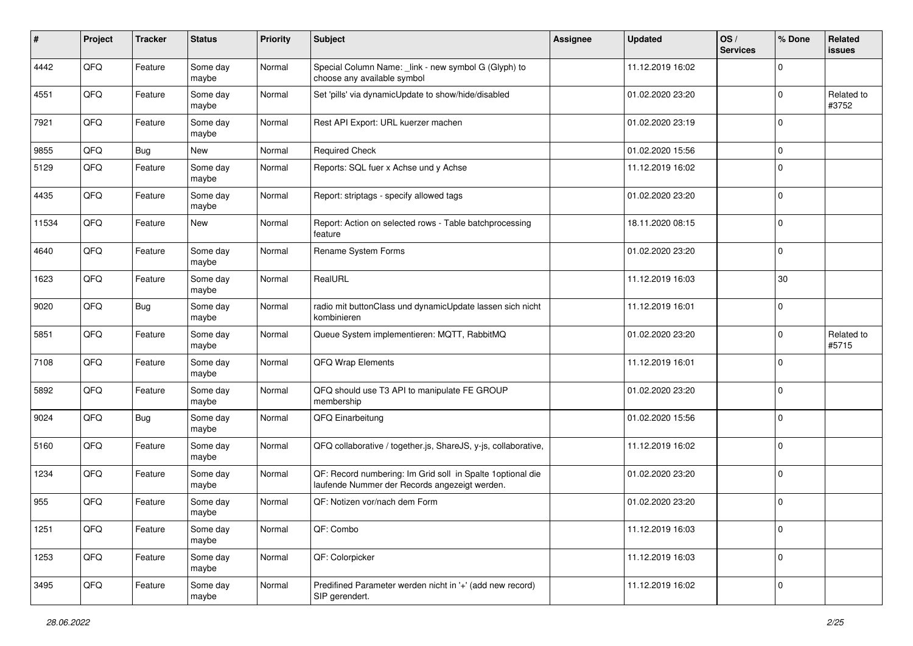| $\pmb{\#}$ | Project | <b>Tracker</b> | <b>Status</b>     | <b>Priority</b> | <b>Subject</b>                                                                                               | Assignee | <b>Updated</b>   | OS/<br><b>Services</b> | % Done      | Related<br>issues   |
|------------|---------|----------------|-------------------|-----------------|--------------------------------------------------------------------------------------------------------------|----------|------------------|------------------------|-------------|---------------------|
| 4442       | QFQ     | Feature        | Some day<br>maybe | Normal          | Special Column Name: _link - new symbol G (Glyph) to<br>choose any available symbol                          |          | 11.12.2019 16:02 |                        | 0           |                     |
| 4551       | QFQ     | Feature        | Some day<br>maybe | Normal          | Set 'pills' via dynamicUpdate to show/hide/disabled                                                          |          | 01.02.2020 23:20 |                        | $\mathbf 0$ | Related to<br>#3752 |
| 7921       | QFQ     | Feature        | Some day<br>maybe | Normal          | Rest API Export: URL kuerzer machen                                                                          |          | 01.02.2020 23:19 |                        | $\mathbf 0$ |                     |
| 9855       | QFQ     | Bug            | New               | Normal          | <b>Required Check</b>                                                                                        |          | 01.02.2020 15:56 |                        | 0           |                     |
| 5129       | QFQ     | Feature        | Some day<br>maybe | Normal          | Reports: SQL fuer x Achse und y Achse                                                                        |          | 11.12.2019 16:02 |                        | $\mathbf 0$ |                     |
| 4435       | QFQ     | Feature        | Some day<br>maybe | Normal          | Report: striptags - specify allowed tags                                                                     |          | 01.02.2020 23:20 |                        | $\mathbf 0$ |                     |
| 11534      | QFQ     | Feature        | New               | Normal          | Report: Action on selected rows - Table batchprocessing<br>feature                                           |          | 18.11.2020 08:15 |                        | $\mathbf 0$ |                     |
| 4640       | QFQ     | Feature        | Some day<br>maybe | Normal          | Rename System Forms                                                                                          |          | 01.02.2020 23:20 |                        | $\mathbf 0$ |                     |
| 1623       | QFQ     | Feature        | Some day<br>maybe | Normal          | RealURL                                                                                                      |          | 11.12.2019 16:03 |                        | 30          |                     |
| 9020       | QFQ     | <b>Bug</b>     | Some day<br>maybe | Normal          | radio mit buttonClass und dynamicUpdate lassen sich nicht<br>kombinieren                                     |          | 11.12.2019 16:01 |                        | $\mathbf 0$ |                     |
| 5851       | QFQ     | Feature        | Some day<br>maybe | Normal          | Queue System implementieren: MQTT, RabbitMQ                                                                  |          | 01.02.2020 23:20 |                        | $\mathbf 0$ | Related to<br>#5715 |
| 7108       | QFQ     | Feature        | Some day<br>maybe | Normal          | QFQ Wrap Elements                                                                                            |          | 11.12.2019 16:01 |                        | $\mathbf 0$ |                     |
| 5892       | QFQ     | Feature        | Some day<br>maybe | Normal          | QFQ should use T3 API to manipulate FE GROUP<br>membership                                                   |          | 01.02.2020 23:20 |                        | $\mathbf 0$ |                     |
| 9024       | QFQ     | Bug            | Some day<br>maybe | Normal          | QFQ Einarbeitung                                                                                             |          | 01.02.2020 15:56 |                        | $\mathbf 0$ |                     |
| 5160       | QFQ     | Feature        | Some day<br>maybe | Normal          | QFQ collaborative / together.js, ShareJS, y-js, collaborative,                                               |          | 11.12.2019 16:02 |                        | $\mathbf 0$ |                     |
| 1234       | QFQ     | Feature        | Some day<br>maybe | Normal          | QF: Record numbering: Im Grid soll in Spalte 1 optional die<br>laufende Nummer der Records angezeigt werden. |          | 01.02.2020 23:20 |                        | $\mathbf 0$ |                     |
| 955        | QFQ     | Feature        | Some day<br>maybe | Normal          | QF: Notizen vor/nach dem Form                                                                                |          | 01.02.2020 23:20 |                        | $\mathbf 0$ |                     |
| 1251       | QFQ     | Feature        | Some day<br>maybe | Normal          | QF: Combo                                                                                                    |          | 11.12.2019 16:03 |                        | $\mathbf 0$ |                     |
| 1253       | QFG     | Feature        | Some day<br>maybe | Normal          | QF: Colorpicker                                                                                              |          | 11.12.2019 16:03 |                        | 0           |                     |
| 3495       | QFQ     | Feature        | Some day<br>maybe | Normal          | Predifined Parameter werden nicht in '+' (add new record)<br>SIP gerendert.                                  |          | 11.12.2019 16:02 |                        | $\mathbf 0$ |                     |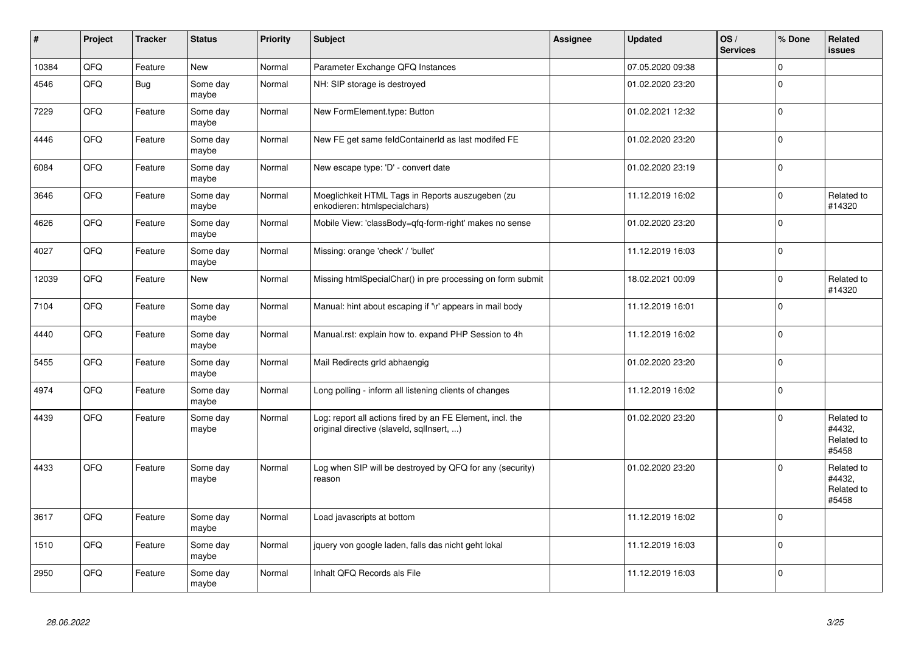| $\vert$ # | Project | <b>Tracker</b> | <b>Status</b>     | Priority | <b>Subject</b>                                                                                         | Assignee | <b>Updated</b>   | OS/<br><b>Services</b> | % Done      | Related<br>issues                           |
|-----------|---------|----------------|-------------------|----------|--------------------------------------------------------------------------------------------------------|----------|------------------|------------------------|-------------|---------------------------------------------|
| 10384     | QFQ     | Feature        | <b>New</b>        | Normal   | Parameter Exchange QFQ Instances                                                                       |          | 07.05.2020 09:38 |                        | 0           |                                             |
| 4546      | QFQ     | <b>Bug</b>     | Some day<br>maybe | Normal   | NH: SIP storage is destroyed                                                                           |          | 01.02.2020 23:20 |                        | $\Omega$    |                                             |
| 7229      | QFQ     | Feature        | Some day<br>maybe | Normal   | New FormElement.type: Button                                                                           |          | 01.02.2021 12:32 |                        | $\Omega$    |                                             |
| 4446      | QFQ     | Feature        | Some day<br>maybe | Normal   | New FE get same feldContainerId as last modifed FE                                                     |          | 01.02.2020 23:20 |                        | $\Omega$    |                                             |
| 6084      | QFQ     | Feature        | Some day<br>maybe | Normal   | New escape type: 'D' - convert date                                                                    |          | 01.02.2020 23:19 |                        | $\Omega$    |                                             |
| 3646      | QFQ     | Feature        | Some day<br>maybe | Normal   | Moeglichkeit HTML Tags in Reports auszugeben (zu<br>enkodieren: htmlspecialchars)                      |          | 11.12.2019 16:02 |                        | $\Omega$    | Related to<br>#14320                        |
| 4626      | QFQ     | Feature        | Some day<br>maybe | Normal   | Mobile View: 'classBody=qfq-form-right' makes no sense                                                 |          | 01.02.2020 23:20 |                        | 0           |                                             |
| 4027      | QFQ     | Feature        | Some day<br>maybe | Normal   | Missing: orange 'check' / 'bullet'                                                                     |          | 11.12.2019 16:03 |                        | $\Omega$    |                                             |
| 12039     | QFQ     | Feature        | New               | Normal   | Missing htmlSpecialChar() in pre processing on form submit                                             |          | 18.02.2021 00:09 |                        | $\Omega$    | Related to<br>#14320                        |
| 7104      | QFQ     | Feature        | Some day<br>maybe | Normal   | Manual: hint about escaping if '\r' appears in mail body                                               |          | 11.12.2019 16:01 |                        | $\Omega$    |                                             |
| 4440      | QFQ     | Feature        | Some day<br>maybe | Normal   | Manual.rst: explain how to. expand PHP Session to 4h                                                   |          | 11.12.2019 16:02 |                        | $\Omega$    |                                             |
| 5455      | QFQ     | Feature        | Some day<br>maybe | Normal   | Mail Redirects grld abhaengig                                                                          |          | 01.02.2020 23:20 |                        | $\mathbf 0$ |                                             |
| 4974      | QFQ     | Feature        | Some day<br>maybe | Normal   | Long polling - inform all listening clients of changes                                                 |          | 11.12.2019 16:02 |                        | $\mathbf 0$ |                                             |
| 4439      | QFQ     | Feature        | Some day<br>maybe | Normal   | Log: report all actions fired by an FE Element, incl. the<br>original directive (slaveld, sqllnsert, ) |          | 01.02.2020 23:20 |                        | $\Omega$    | Related to<br>#4432,<br>Related to<br>#5458 |
| 4433      | QFQ     | Feature        | Some day<br>maybe | Normal   | Log when SIP will be destroyed by QFQ for any (security)<br>reason                                     |          | 01.02.2020 23:20 |                        | $\Omega$    | Related to<br>#4432,<br>Related to<br>#5458 |
| 3617      | QFQ     | Feature        | Some day<br>maybe | Normal   | Load javascripts at bottom                                                                             |          | 11.12.2019 16:02 |                        | $\Omega$    |                                             |
| 1510      | QFQ     | Feature        | Some day<br>maybe | Normal   | jquery von google laden, falls das nicht geht lokal                                                    |          | 11.12.2019 16:03 |                        | $\Omega$    |                                             |
| 2950      | QFQ     | Feature        | Some day<br>maybe | Normal   | Inhalt QFQ Records als File                                                                            |          | 11.12.2019 16:03 |                        | $\Omega$    |                                             |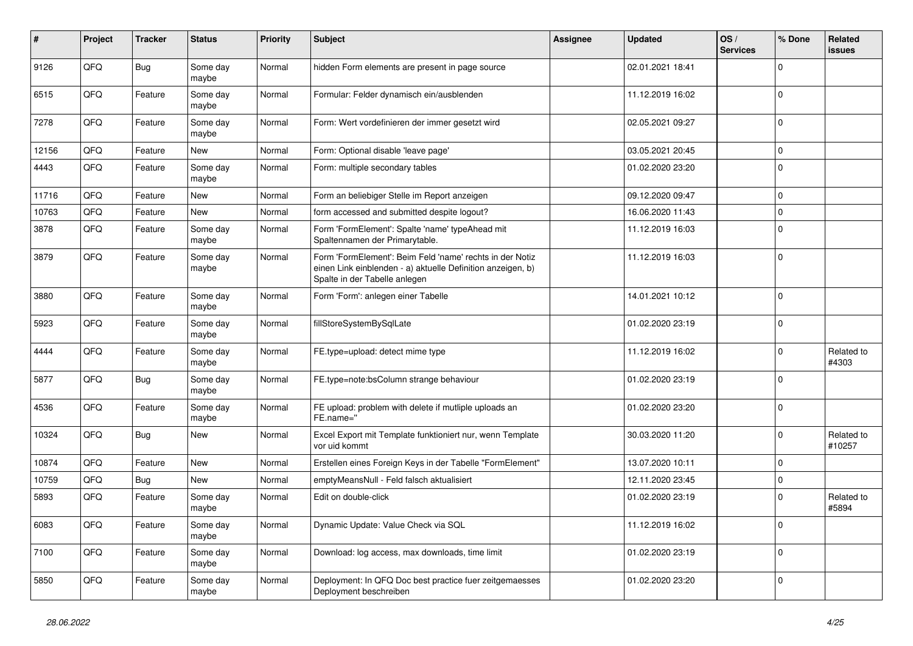| #     | Project | <b>Tracker</b> | <b>Status</b>     | <b>Priority</b> | <b>Subject</b>                                                                                                                                           | <b>Assignee</b> | <b>Updated</b>   | OS/<br><b>Services</b> | % Done      | Related<br>issues    |
|-------|---------|----------------|-------------------|-----------------|----------------------------------------------------------------------------------------------------------------------------------------------------------|-----------------|------------------|------------------------|-------------|----------------------|
| 9126  | QFQ     | Bug            | Some day<br>maybe | Normal          | hidden Form elements are present in page source                                                                                                          |                 | 02.01.2021 18:41 |                        | $\Omega$    |                      |
| 6515  | QFQ     | Feature        | Some day<br>maybe | Normal          | Formular: Felder dynamisch ein/ausblenden                                                                                                                |                 | 11.12.2019 16:02 |                        | $\mathbf 0$ |                      |
| 7278  | QFQ     | Feature        | Some day<br>maybe | Normal          | Form: Wert vordefinieren der immer gesetzt wird                                                                                                          |                 | 02.05.2021 09:27 |                        | $\Omega$    |                      |
| 12156 | QFQ     | Feature        | <b>New</b>        | Normal          | Form: Optional disable 'leave page'                                                                                                                      |                 | 03.05.2021 20:45 |                        | $\Omega$    |                      |
| 4443  | QFQ     | Feature        | Some day<br>maybe | Normal          | Form: multiple secondary tables                                                                                                                          |                 | 01.02.2020 23:20 |                        | $\Omega$    |                      |
| 11716 | QFQ     | Feature        | New               | Normal          | Form an beliebiger Stelle im Report anzeigen                                                                                                             |                 | 09.12.2020 09:47 |                        | 0           |                      |
| 10763 | QFQ     | Feature        | New               | Normal          | form accessed and submitted despite logout?                                                                                                              |                 | 16.06.2020 11:43 |                        | $\mathbf 0$ |                      |
| 3878  | QFQ     | Feature        | Some day<br>maybe | Normal          | Form 'FormElement': Spalte 'name' typeAhead mit<br>Spaltennamen der Primarytable.                                                                        |                 | 11.12.2019 16:03 |                        | $\Omega$    |                      |
| 3879  | QFQ     | Feature        | Some day<br>maybe | Normal          | Form 'FormElement': Beim Feld 'name' rechts in der Notiz<br>einen Link einblenden - a) aktuelle Definition anzeigen, b)<br>Spalte in der Tabelle anlegen |                 | 11.12.2019 16:03 |                        | $\mathbf 0$ |                      |
| 3880  | QFQ     | Feature        | Some day<br>maybe | Normal          | Form 'Form': anlegen einer Tabelle                                                                                                                       |                 | 14.01.2021 10:12 |                        | $\Omega$    |                      |
| 5923  | QFQ     | Feature        | Some day<br>maybe | Normal          | fillStoreSystemBySqlLate                                                                                                                                 |                 | 01.02.2020 23:19 |                        | $\Omega$    |                      |
| 4444  | QFQ     | Feature        | Some day<br>maybe | Normal          | FE.type=upload: detect mime type                                                                                                                         |                 | 11.12.2019 16:02 |                        | $\mathbf 0$ | Related to<br>#4303  |
| 5877  | QFQ     | Bug            | Some day<br>maybe | Normal          | FE.type=note:bsColumn strange behaviour                                                                                                                  |                 | 01.02.2020 23:19 |                        | $\mathbf 0$ |                      |
| 4536  | QFQ     | Feature        | Some day<br>maybe | Normal          | FE upload: problem with delete if mutliple uploads an<br>FE.name="                                                                                       |                 | 01.02.2020 23:20 |                        | $\Omega$    |                      |
| 10324 | QFQ     | Bug            | <b>New</b>        | Normal          | Excel Export mit Template funktioniert nur, wenn Template<br>vor uid kommt                                                                               |                 | 30.03.2020 11:20 |                        | $\Omega$    | Related to<br>#10257 |
| 10874 | QFQ     | Feature        | New               | Normal          | Erstellen eines Foreign Keys in der Tabelle "FormElement"                                                                                                |                 | 13.07.2020 10:11 |                        | $\mathbf 0$ |                      |
| 10759 | QFQ     | Bug            | New               | Normal          | emptyMeansNull - Feld falsch aktualisiert                                                                                                                |                 | 12.11.2020 23:45 |                        | 0           |                      |
| 5893  | QFQ     | Feature        | Some day<br>maybe | Normal          | Edit on double-click                                                                                                                                     |                 | 01.02.2020 23:19 |                        | $\Omega$    | Related to<br>#5894  |
| 6083  | QFQ     | Feature        | Some day<br>maybe | Normal          | Dynamic Update: Value Check via SQL                                                                                                                      |                 | 11.12.2019 16:02 |                        | $\Omega$    |                      |
| 7100  | QFQ     | Feature        | Some day<br>maybe | Normal          | Download: log access, max downloads, time limit                                                                                                          |                 | 01.02.2020 23:19 |                        | $\Omega$    |                      |
| 5850  | QFQ     | Feature        | Some day<br>maybe | Normal          | Deployment: In QFQ Doc best practice fuer zeitgemaesses<br>Deployment beschreiben                                                                        |                 | 01.02.2020 23:20 |                        | $\Omega$    |                      |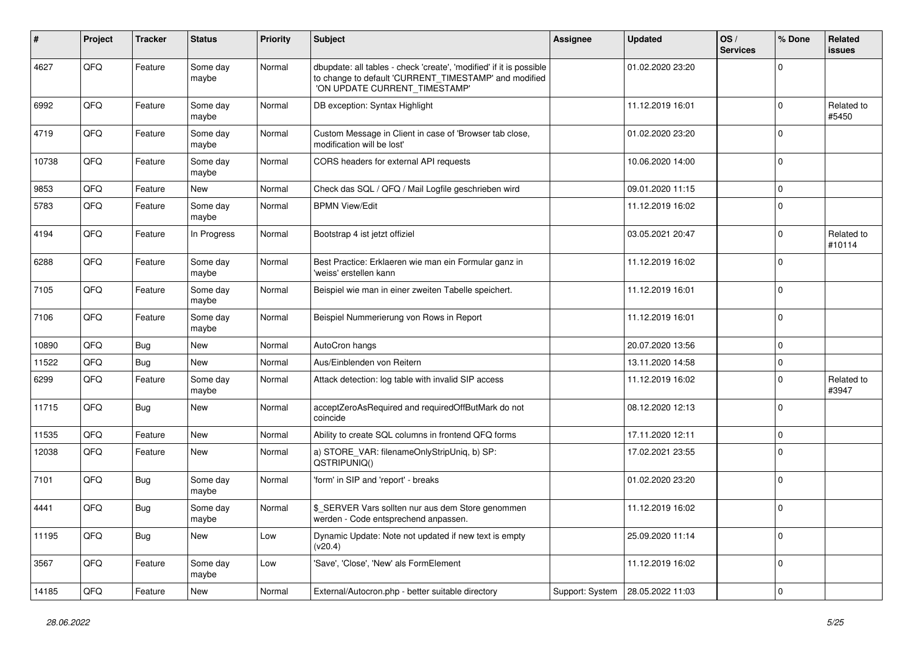| #     | Project | <b>Tracker</b> | <b>Status</b>     | <b>Priority</b> | <b>Subject</b>                                                                                                                                                | Assignee        | <b>Updated</b>   | OS/<br><b>Services</b> | % Done      | Related<br>issues    |
|-------|---------|----------------|-------------------|-----------------|---------------------------------------------------------------------------------------------------------------------------------------------------------------|-----------------|------------------|------------------------|-------------|----------------------|
| 4627  | QFQ     | Feature        | Some day<br>maybe | Normal          | dbupdate: all tables - check 'create', 'modified' if it is possible<br>to change to default 'CURRENT_TIMESTAMP' and modified<br>'ON UPDATE CURRENT_TIMESTAMP' |                 | 01.02.2020 23:20 |                        | $\Omega$    |                      |
| 6992  | QFQ     | Feature        | Some day<br>maybe | Normal          | DB exception: Syntax Highlight                                                                                                                                |                 | 11.12.2019 16:01 |                        | $\Omega$    | Related to<br>#5450  |
| 4719  | QFQ     | Feature        | Some day<br>maybe | Normal          | Custom Message in Client in case of 'Browser tab close,<br>modification will be lost'                                                                         |                 | 01.02.2020 23:20 |                        | $\Omega$    |                      |
| 10738 | QFQ     | Feature        | Some day<br>maybe | Normal          | CORS headers for external API requests                                                                                                                        |                 | 10.06.2020 14:00 |                        | $\Omega$    |                      |
| 9853  | QFQ     | Feature        | <b>New</b>        | Normal          | Check das SQL / QFQ / Mail Logfile geschrieben wird                                                                                                           |                 | 09.01.2020 11:15 |                        | $\mathbf 0$ |                      |
| 5783  | QFQ     | Feature        | Some day<br>maybe | Normal          | <b>BPMN View/Edit</b>                                                                                                                                         |                 | 11.12.2019 16:02 |                        | $\Omega$    |                      |
| 4194  | QFQ     | Feature        | In Progress       | Normal          | Bootstrap 4 ist jetzt offiziel                                                                                                                                |                 | 03.05.2021 20:47 |                        | $\Omega$    | Related to<br>#10114 |
| 6288  | QFQ     | Feature        | Some day<br>maybe | Normal          | Best Practice: Erklaeren wie man ein Formular ganz in<br>'weiss' erstellen kann                                                                               |                 | 11.12.2019 16:02 |                        | $\Omega$    |                      |
| 7105  | QFQ     | Feature        | Some day<br>maybe | Normal          | Beispiel wie man in einer zweiten Tabelle speichert.                                                                                                          |                 | 11.12.2019 16:01 |                        | $\mathbf 0$ |                      |
| 7106  | QFQ     | Feature        | Some day<br>maybe | Normal          | Beispiel Nummerierung von Rows in Report                                                                                                                      |                 | 11.12.2019 16:01 |                        | $\Omega$    |                      |
| 10890 | QFQ     | <b>Bug</b>     | <b>New</b>        | Normal          | AutoCron hangs                                                                                                                                                |                 | 20.07.2020 13:56 |                        | $\mathbf 0$ |                      |
| 11522 | QFQ     | <b>Bug</b>     | <b>New</b>        | Normal          | Aus/Einblenden von Reitern                                                                                                                                    |                 | 13.11.2020 14:58 |                        | $\mathbf 0$ |                      |
| 6299  | QFQ     | Feature        | Some day<br>maybe | Normal          | Attack detection: log table with invalid SIP access                                                                                                           |                 | 11.12.2019 16:02 |                        | $\Omega$    | Related to<br>#3947  |
| 11715 | QFQ     | Bug            | <b>New</b>        | Normal          | acceptZeroAsRequired and requiredOffButMark do not<br>coincide                                                                                                |                 | 08.12.2020 12:13 |                        | $\mathbf 0$ |                      |
| 11535 | QFQ     | Feature        | New               | Normal          | Ability to create SQL columns in frontend QFQ forms                                                                                                           |                 | 17.11.2020 12:11 |                        | 0           |                      |
| 12038 | QFQ     | Feature        | New               | Normal          | a) STORE_VAR: filenameOnlyStripUniq, b) SP:<br>QSTRIPUNIQ()                                                                                                   |                 | 17.02.2021 23:55 |                        | $\Omega$    |                      |
| 7101  | QFQ     | Bug            | Some day<br>maybe | Normal          | 'form' in SIP and 'report' - breaks                                                                                                                           |                 | 01.02.2020 23:20 |                        | $\Omega$    |                      |
| 4441  | QFQ     | <b>Bug</b>     | Some day<br>maybe | Normal          | \$ SERVER Vars sollten nur aus dem Store genommen<br>werden - Code entsprechend anpassen.                                                                     |                 | 11.12.2019 16:02 |                        | $\mathbf 0$ |                      |
| 11195 | QFQ     | <b>Bug</b>     | New               | Low             | Dynamic Update: Note not updated if new text is empty<br>(v20.4)                                                                                              |                 | 25.09.2020 11:14 |                        | $\mathbf 0$ |                      |
| 3567  | QFQ     | Feature        | Some day<br>maybe | Low             | 'Save', 'Close', 'New' als FormElement                                                                                                                        |                 | 11.12.2019 16:02 |                        | $\mathbf 0$ |                      |
| 14185 | QFQ     | Feature        | New               | Normal          | External/Autocron.php - better suitable directory                                                                                                             | Support: System | 28.05.2022 11:03 |                        | $\mathbf 0$ |                      |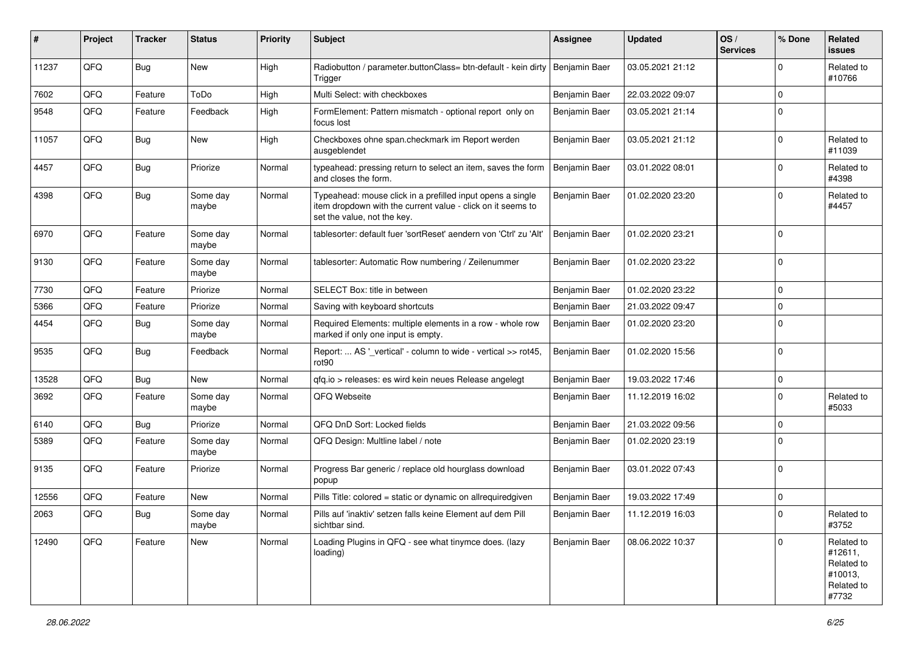| #     | Project | <b>Tracker</b> | <b>Status</b>     | <b>Priority</b> | <b>Subject</b>                                                                                                                                           | <b>Assignee</b> | <b>Updated</b>   | OS/<br><b>Services</b> | % Done      | Related<br><b>issues</b>                                              |
|-------|---------|----------------|-------------------|-----------------|----------------------------------------------------------------------------------------------------------------------------------------------------------|-----------------|------------------|------------------------|-------------|-----------------------------------------------------------------------|
| 11237 | QFQ     | Bug            | New               | High            | Radiobutton / parameter.buttonClass= btn-default - kein dirty<br>Trigger                                                                                 | Benjamin Baer   | 03.05.2021 21:12 |                        | $\Omega$    | Related to<br>#10766                                                  |
| 7602  | QFQ     | Feature        | ToDo              | High            | Multi Select: with checkboxes                                                                                                                            | Benjamin Baer   | 22.03.2022 09:07 |                        | $\mathbf 0$ |                                                                       |
| 9548  | QFQ     | Feature        | Feedback          | High            | FormElement: Pattern mismatch - optional report only on<br>focus lost                                                                                    | Benjamin Baer   | 03.05.2021 21:14 |                        | $\Omega$    |                                                                       |
| 11057 | QFQ     | Bug            | <b>New</b>        | High            | Checkboxes ohne span.checkmark im Report werden<br>ausgeblendet                                                                                          | Benjamin Baer   | 03.05.2021 21:12 |                        | $\mathbf 0$ | Related to<br>#11039                                                  |
| 4457  | QFQ     | <b>Bug</b>     | Priorize          | Normal          | typeahead: pressing return to select an item, saves the form<br>and closes the form.                                                                     | Benjamin Baer   | 03.01.2022 08:01 |                        | $\Omega$    | Related to<br>#4398                                                   |
| 4398  | QFQ     | Bug            | Some day<br>maybe | Normal          | Typeahead: mouse click in a prefilled input opens a single<br>item dropdown with the current value - click on it seems to<br>set the value, not the key. | Benjamin Baer   | 01.02.2020 23:20 |                        | $\Omega$    | Related to<br>#4457                                                   |
| 6970  | QFQ     | Feature        | Some day<br>maybe | Normal          | tablesorter: default fuer 'sortReset' aendern von 'Ctrl' zu 'Alt'                                                                                        | Benjamin Baer   | 01.02.2020 23:21 |                        | $\Omega$    |                                                                       |
| 9130  | QFQ     | Feature        | Some day<br>maybe | Normal          | tablesorter: Automatic Row numbering / Zeilenummer                                                                                                       | Benjamin Baer   | 01.02.2020 23:22 |                        | $\mathbf 0$ |                                                                       |
| 7730  | QFQ     | Feature        | Priorize          | Normal          | SELECT Box: title in between                                                                                                                             | Benjamin Baer   | 01.02.2020 23:22 |                        | $\Omega$    |                                                                       |
| 5366  | QFQ     | Feature        | Priorize          | Normal          | Saving with keyboard shortcuts                                                                                                                           | Benjamin Baer   | 21.03.2022 09:47 |                        | $\mathbf 0$ |                                                                       |
| 4454  | QFQ     | <b>Bug</b>     | Some day<br>maybe | Normal          | Required Elements: multiple elements in a row - whole row<br>marked if only one input is empty.                                                          | Benjamin Baer   | 01.02.2020 23:20 |                        | $\Omega$    |                                                                       |
| 9535  | QFQ     | <b>Bug</b>     | Feedback          | Normal          | Report:  AS '_vertical' - column to wide - vertical >> rot45,<br>rot <sub>90</sub>                                                                       | Benjamin Baer   | 01.02.2020 15:56 |                        | $\Omega$    |                                                                       |
| 13528 | QFQ     | Bug            | <b>New</b>        | Normal          | qfq.io > releases: es wird kein neues Release angelegt                                                                                                   | Benjamin Baer   | 19.03.2022 17:46 |                        | 0           |                                                                       |
| 3692  | QFQ     | Feature        | Some day<br>maybe | Normal          | QFQ Webseite                                                                                                                                             | Benjamin Baer   | 11.12.2019 16:02 |                        | $\Omega$    | Related to<br>#5033                                                   |
| 6140  | QFQ     | <b>Bug</b>     | Priorize          | Normal          | QFQ DnD Sort: Locked fields                                                                                                                              | Benjamin Baer   | 21.03.2022 09:56 |                        | $\Omega$    |                                                                       |
| 5389  | QFQ     | Feature        | Some day<br>maybe | Normal          | QFQ Design: Multline label / note                                                                                                                        | Benjamin Baer   | 01.02.2020 23:19 |                        | $\Omega$    |                                                                       |
| 9135  | QFQ     | Feature        | Priorize          | Normal          | Progress Bar generic / replace old hourglass download<br>popup                                                                                           | Benjamin Baer   | 03.01.2022 07:43 |                        | $\Omega$    |                                                                       |
| 12556 | QFQ     | Feature        | <b>New</b>        | Normal          | Pills Title: colored = static or dynamic on allrequiredgiven                                                                                             | Benjamin Baer   | 19.03.2022 17:49 |                        | 0           |                                                                       |
| 2063  | QFQ     | <b>Bug</b>     | Some day<br>maybe | Normal          | Pills auf 'inaktiv' setzen falls keine Element auf dem Pill<br>sichtbar sind.                                                                            | Benjamin Baer   | 11.12.2019 16:03 |                        | $\mathbf 0$ | Related to<br>#3752                                                   |
| 12490 | QFQ     | Feature        | New               | Normal          | Loading Plugins in QFQ - see what tinymce does. (lazy<br>loading)                                                                                        | Benjamin Baer   | 08.06.2022 10:37 |                        | $\Omega$    | Related to<br>#12611,<br>Related to<br>#10013,<br>Related to<br>#7732 |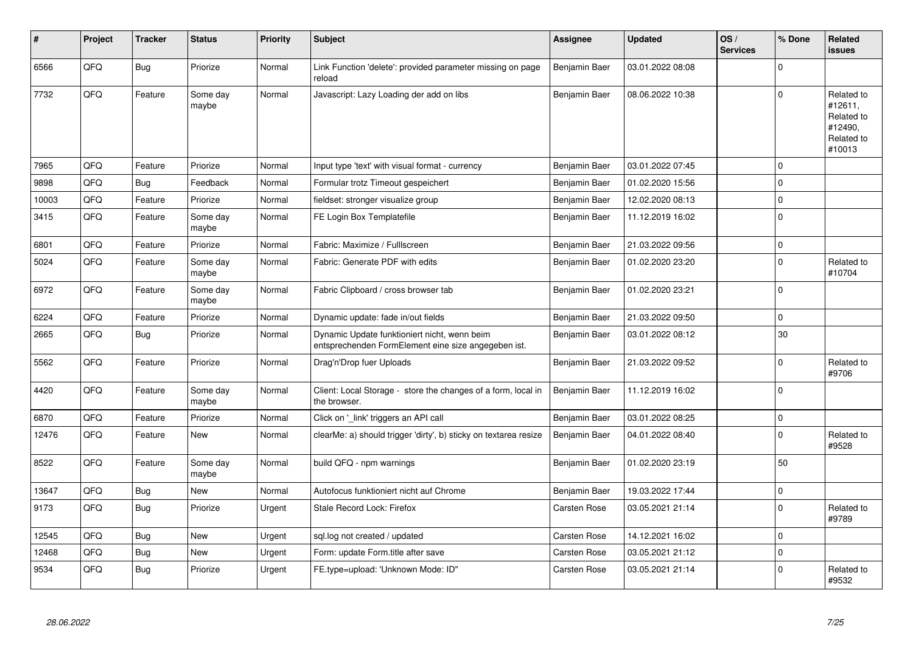| #     | Project | <b>Tracker</b> | <b>Status</b>     | <b>Priority</b> | <b>Subject</b>                                                                                      | Assignee             | <b>Updated</b>   | OS/<br><b>Services</b> | % Done      | <b>Related</b><br>issues                                               |
|-------|---------|----------------|-------------------|-----------------|-----------------------------------------------------------------------------------------------------|----------------------|------------------|------------------------|-------------|------------------------------------------------------------------------|
| 6566  | QFQ     | Bug            | Priorize          | Normal          | Link Function 'delete': provided parameter missing on page<br>reload                                | <b>Benjamin Baer</b> | 03.01.2022 08:08 |                        | $\Omega$    |                                                                        |
| 7732  | QFQ     | Feature        | Some day<br>maybe | Normal          | Javascript: Lazy Loading der add on libs                                                            | <b>Benjamin Baer</b> | 08.06.2022 10:38 |                        | $\Omega$    | Related to<br>#12611,<br>Related to<br>#12490,<br>Related to<br>#10013 |
| 7965  | QFQ     | Feature        | Priorize          | Normal          | Input type 'text' with visual format - currency                                                     | Benjamin Baer        | 03.01.2022 07:45 |                        | $\Omega$    |                                                                        |
| 9898  | QFQ     | Bug            | Feedback          | Normal          | Formular trotz Timeout gespeichert                                                                  | Benjamin Baer        | 01.02.2020 15:56 |                        | $\Omega$    |                                                                        |
| 10003 | QFQ     | Feature        | Priorize          | Normal          | fieldset: stronger visualize group                                                                  | Benjamin Baer        | 12.02.2020 08:13 |                        | 0           |                                                                        |
| 3415  | QFQ     | Feature        | Some day<br>maybe | Normal          | FE Login Box Templatefile                                                                           | Benjamin Baer        | 11.12.2019 16:02 |                        | $\Omega$    |                                                                        |
| 6801  | QFQ     | Feature        | Priorize          | Normal          | Fabric: Maximize / FullIscreen                                                                      | Benjamin Baer        | 21.03.2022 09:56 |                        | 0           |                                                                        |
| 5024  | QFQ     | Feature        | Some day<br>maybe | Normal          | Fabric: Generate PDF with edits                                                                     | Benjamin Baer        | 01.02.2020 23:20 |                        | $\Omega$    | Related to<br>#10704                                                   |
| 6972  | QFQ     | Feature        | Some day<br>maybe | Normal          | Fabric Clipboard / cross browser tab                                                                | Benjamin Baer        | 01.02.2020 23:21 |                        | $\Omega$    |                                                                        |
| 6224  | QFQ     | Feature        | Priorize          | Normal          | Dynamic update: fade in/out fields                                                                  | Benjamin Baer        | 21.03.2022 09:50 |                        | $\mathbf 0$ |                                                                        |
| 2665  | QFQ     | <b>Bug</b>     | Priorize          | Normal          | Dynamic Update funktioniert nicht, wenn beim<br>entsprechenden FormElement eine size angegeben ist. | Benjamin Baer        | 03.01.2022 08:12 |                        | 30          |                                                                        |
| 5562  | QFQ     | Feature        | Priorize          | Normal          | Drag'n'Drop fuer Uploads                                                                            | Benjamin Baer        | 21.03.2022 09:52 |                        | $\Omega$    | Related to<br>#9706                                                    |
| 4420  | QFQ     | Feature        | Some day<br>maybe | Normal          | Client: Local Storage - store the changes of a form, local in<br>the browser.                       | Benjamin Baer        | 11.12.2019 16:02 |                        | $\Omega$    |                                                                        |
| 6870  | QFQ     | Feature        | Priorize          | Normal          | Click on 'link' triggers an API call                                                                | Benjamin Baer        | 03.01.2022 08:25 |                        | $\mathbf 0$ |                                                                        |
| 12476 | QFQ     | Feature        | <b>New</b>        | Normal          | clearMe: a) should trigger 'dirty', b) sticky on textarea resize                                    | Benjamin Baer        | 04.01.2022 08:40 |                        | $\Omega$    | Related to<br>#9528                                                    |
| 8522  | QFQ     | Feature        | Some day<br>maybe | Normal          | build QFQ - npm warnings                                                                            | Benjamin Baer        | 01.02.2020 23:19 |                        | 50          |                                                                        |
| 13647 | QFQ     | <b>Bug</b>     | <b>New</b>        | Normal          | Autofocus funktioniert nicht auf Chrome                                                             | Benjamin Baer        | 19.03.2022 17:44 |                        | 0           |                                                                        |
| 9173  | QFQ     | <b>Bug</b>     | Priorize          | Urgent          | Stale Record Lock: Firefox                                                                          | <b>Carsten Rose</b>  | 03.05.2021 21:14 |                        | $\Omega$    | Related to<br>#9789                                                    |
| 12545 | QFQ     | Bug            | <b>New</b>        | Urgent          | sgl.log not created / updated                                                                       | <b>Carsten Rose</b>  | 14.12.2021 16:02 |                        | $\Omega$    |                                                                        |
| 12468 | QFQ     | <b>Bug</b>     | <b>New</b>        | Urgent          | Form: update Form.title after save                                                                  | Carsten Rose         | 03.05.2021 21:12 |                        | $\mathbf 0$ |                                                                        |
| 9534  | QFQ     | Bug            | Priorize          | Urgent          | FE.type=upload: 'Unknown Mode: ID"                                                                  | Carsten Rose         | 03.05.2021 21:14 |                        | $\Omega$    | Related to<br>#9532                                                    |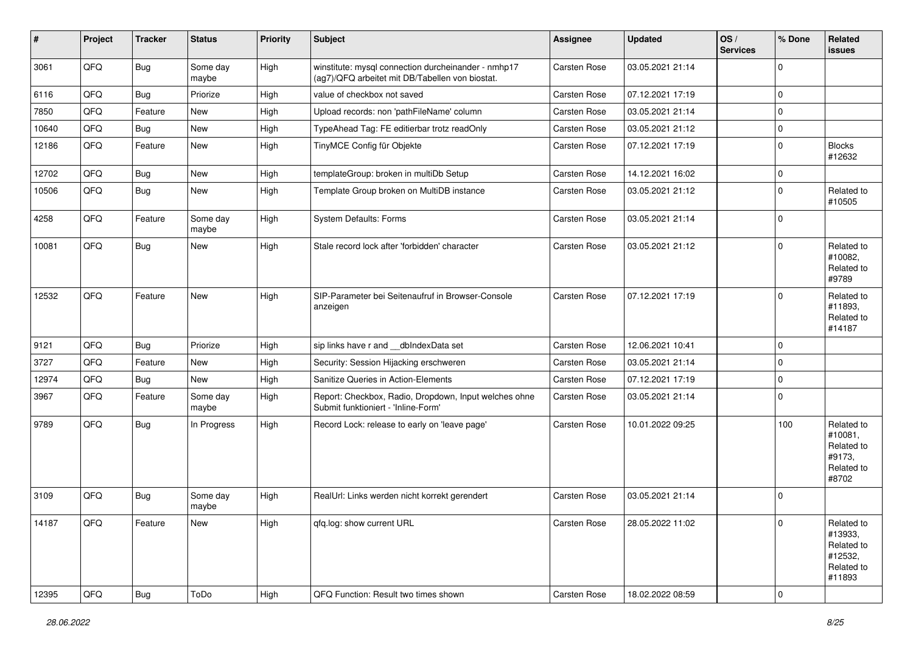| $\vert$ # | Project | <b>Tracker</b> | <b>Status</b>     | <b>Priority</b> | Subject                                                                                                | <b>Assignee</b>     | <b>Updated</b>   | OS/<br><b>Services</b> | % Done      | Related<br><b>issues</b>                                               |
|-----------|---------|----------------|-------------------|-----------------|--------------------------------------------------------------------------------------------------------|---------------------|------------------|------------------------|-------------|------------------------------------------------------------------------|
| 3061      | QFQ     | <b>Bug</b>     | Some day<br>maybe | High            | winstitute: mysql connection durcheinander - nmhp17<br>(ag7)/QFQ arbeitet mit DB/Tabellen von biostat. | Carsten Rose        | 03.05.2021 21:14 |                        | $\mathbf 0$ |                                                                        |
| 6116      | QFQ     | <b>Bug</b>     | Priorize          | High            | value of checkbox not saved                                                                            | Carsten Rose        | 07.12.2021 17:19 |                        | $\mathbf 0$ |                                                                        |
| 7850      | QFQ     | Feature        | <b>New</b>        | High            | Upload records: non 'pathFileName' column                                                              | Carsten Rose        | 03.05.2021 21:14 |                        | $\mathbf 0$ |                                                                        |
| 10640     | QFQ     | <b>Bug</b>     | <b>New</b>        | High            | TypeAhead Tag: FE editierbar trotz readOnly                                                            | Carsten Rose        | 03.05.2021 21:12 |                        | $\pmb{0}$   |                                                                        |
| 12186     | QFQ     | Feature        | New               | High            | TinyMCE Config für Objekte                                                                             | Carsten Rose        | 07.12.2021 17:19 |                        | $\mathbf 0$ | <b>Blocks</b><br>#12632                                                |
| 12702     | QFQ     | <b>Bug</b>     | New               | High            | templateGroup: broken in multiDb Setup                                                                 | Carsten Rose        | 14.12.2021 16:02 |                        | $\mathbf 0$ |                                                                        |
| 10506     | QFQ     | <b>Bug</b>     | New               | High            | Template Group broken on MultiDB instance                                                              | Carsten Rose        | 03.05.2021 21:12 |                        | $\mathbf 0$ | Related to<br>#10505                                                   |
| 4258      | QFQ     | Feature        | Some day<br>maybe | High            | System Defaults: Forms                                                                                 | Carsten Rose        | 03.05.2021 21:14 |                        | $\mathbf 0$ |                                                                        |
| 10081     | QFQ     | <b>Bug</b>     | New               | High            | Stale record lock after 'forbidden' character                                                          | Carsten Rose        | 03.05.2021 21:12 |                        | $\mathbf 0$ | Related to<br>#10082,<br>Related to<br>#9789                           |
| 12532     | QFQ     | Feature        | <b>New</b>        | High            | SIP-Parameter bei Seitenaufruf in Browser-Console<br>anzeigen                                          | Carsten Rose        | 07.12.2021 17:19 |                        | $\mathbf 0$ | Related to<br>#11893,<br>Related to<br>#14187                          |
| 9121      | QFQ     | <b>Bug</b>     | Priorize          | High            | sip links have r and __dbIndexData set                                                                 | Carsten Rose        | 12.06.2021 10:41 |                        | $\mathbf 0$ |                                                                        |
| 3727      | QFQ     | Feature        | New               | High            | Security: Session Hijacking erschweren                                                                 | <b>Carsten Rose</b> | 03.05.2021 21:14 |                        | $\mathbf 0$ |                                                                        |
| 12974     | QFQ     | Bug            | <b>New</b>        | High            | Sanitize Queries in Action-Elements                                                                    | Carsten Rose        | 07.12.2021 17:19 |                        | $\pmb{0}$   |                                                                        |
| 3967      | QFQ     | Feature        | Some day<br>maybe | High            | Report: Checkbox, Radio, Dropdown, Input welches ohne<br>Submit funktioniert - 'Inline-Form'           | Carsten Rose        | 03.05.2021 21:14 |                        | $\mathbf 0$ |                                                                        |
| 9789      | QFQ     | <b>Bug</b>     | In Progress       | High            | Record Lock: release to early on 'leave page'                                                          | Carsten Rose        | 10.01.2022 09:25 |                        | 100         | Related to<br>#10081,<br>Related to<br>#9173.<br>Related to<br>#8702   |
| 3109      | QFQ     | <b>Bug</b>     | Some day<br>maybe | High            | RealUrl: Links werden nicht korrekt gerendert                                                          | <b>Carsten Rose</b> | 03.05.2021 21:14 |                        | $\mathbf 0$ |                                                                        |
| 14187     | QFQ     | Feature        | New               | High            | qfq.log: show current URL                                                                              | Carsten Rose        | 28.05.2022 11:02 |                        | 0           | Related to<br>#13933,<br>Related to<br>#12532,<br>Related to<br>#11893 |
| 12395     | QFQ     | Bug            | ToDo              | High            | QFQ Function: Result two times shown                                                                   | Carsten Rose        | 18.02.2022 08:59 |                        | 0           |                                                                        |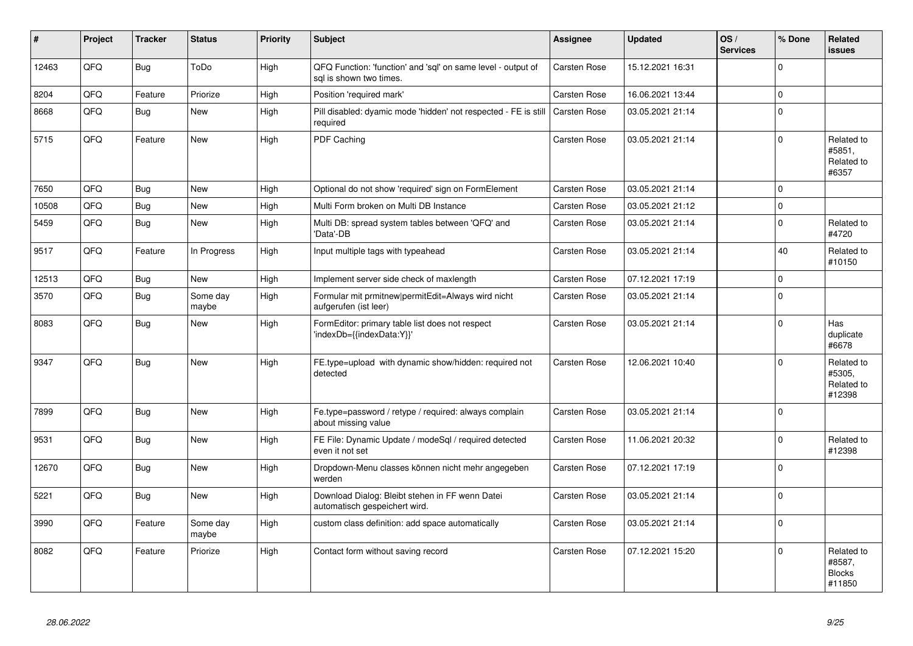| #     | Project | <b>Tracker</b> | <b>Status</b>     | <b>Priority</b> | <b>Subject</b>                                                                          | Assignee            | <b>Updated</b>   | OS/<br><b>Services</b> | % Done      | <b>Related</b><br><b>issues</b>                 |
|-------|---------|----------------|-------------------|-----------------|-----------------------------------------------------------------------------------------|---------------------|------------------|------------------------|-------------|-------------------------------------------------|
| 12463 | QFQ     | <b>Bug</b>     | ToDo              | High            | QFQ Function: 'function' and 'sql' on same level - output of<br>sal is shown two times. | Carsten Rose        | 15.12.2021 16:31 |                        | $\mathbf 0$ |                                                 |
| 8204  | QFQ     | Feature        | Priorize          | High            | Position 'required mark'                                                                | <b>Carsten Rose</b> | 16.06.2021 13:44 |                        | $\mathbf 0$ |                                                 |
| 8668  | QFQ     | <b>Bug</b>     | <b>New</b>        | High            | Pill disabled: dyamic mode 'hidden' not respected - FE is still<br>required             | <b>Carsten Rose</b> | 03.05.2021 21:14 |                        | $\Omega$    |                                                 |
| 5715  | QFQ     | Feature        | <b>New</b>        | High            | PDF Caching                                                                             | <b>Carsten Rose</b> | 03.05.2021 21:14 |                        | $\Omega$    | Related to<br>#5851,<br>Related to<br>#6357     |
| 7650  | QFQ     | <b>Bug</b>     | <b>New</b>        | High            | Optional do not show 'required' sign on FormElement                                     | <b>Carsten Rose</b> | 03.05.2021 21:14 |                        | $\Omega$    |                                                 |
| 10508 | QFQ     | <b>Bug</b>     | New               | High            | Multi Form broken on Multi DB Instance                                                  | <b>Carsten Rose</b> | 03.05.2021 21:12 |                        | $\mathsf 0$ |                                                 |
| 5459  | QFQ     | Bug            | <b>New</b>        | High            | Multi DB: spread system tables between 'QFQ' and<br>'Data'-DB                           | Carsten Rose        | 03.05.2021 21:14 |                        | $\mathbf 0$ | Related to<br>#4720                             |
| 9517  | QFQ     | Feature        | In Progress       | High            | Input multiple tags with typeahead                                                      | Carsten Rose        | 03.05.2021 21:14 |                        | 40          | Related to<br>#10150                            |
| 12513 | QFQ     | <b>Bug</b>     | <b>New</b>        | High            | Implement server side check of maxlength                                                | <b>Carsten Rose</b> | 07.12.2021 17:19 |                        | $\mathsf 0$ |                                                 |
| 3570  | QFQ     | <b>Bug</b>     | Some day<br>maybe | High            | Formular mit prmitnew permitEdit=Always wird nicht<br>aufgerufen (ist leer)             | Carsten Rose        | 03.05.2021 21:14 |                        | $\Omega$    |                                                 |
| 8083  | QFQ     | <b>Bug</b>     | <b>New</b>        | High            | FormEditor: primary table list does not respect<br>'indexDb={{indexData:Y}}'            | <b>Carsten Rose</b> | 03.05.2021 21:14 |                        | $\Omega$    | Has<br>duplicate<br>#6678                       |
| 9347  | QFQ     | Bug            | <b>New</b>        | High            | FE.type=upload with dynamic show/hidden: required not<br>detected                       | Carsten Rose        | 12.06.2021 10:40 |                        | $\mathbf 0$ | Related to<br>#5305,<br>Related to<br>#12398    |
| 7899  | QFQ     | <b>Bug</b>     | <b>New</b>        | High            | Fe.type=password / retype / required: always complain<br>about missing value            | <b>Carsten Rose</b> | 03.05.2021 21:14 |                        | $\Omega$    |                                                 |
| 9531  | QFQ     | <b>Bug</b>     | <b>New</b>        | High            | FE File: Dynamic Update / modeSql / required detected<br>even it not set                | Carsten Rose        | 11.06.2021 20:32 |                        | $\mathsf 0$ | Related to<br>#12398                            |
| 12670 | QFQ     | <b>Bug</b>     | <b>New</b>        | High            | Dropdown-Menu classes können nicht mehr angegeben<br>werden                             | Carsten Rose        | 07.12.2021 17:19 |                        | $\mathbf 0$ |                                                 |
| 5221  | QFQ     | <b>Bug</b>     | <b>New</b>        | High            | Download Dialog: Bleibt stehen in FF wenn Datei<br>automatisch gespeichert wird.        | Carsten Rose        | 03.05.2021 21:14 |                        | $\mathbf 0$ |                                                 |
| 3990  | QFQ     | Feature        | Some day<br>maybe | High            | custom class definition: add space automatically                                        | Carsten Rose        | 03.05.2021 21:14 |                        | $\mathbf 0$ |                                                 |
| 8082  | QFQ     | Feature        | Priorize          | High            | Contact form without saving record                                                      | <b>Carsten Rose</b> | 07.12.2021 15:20 |                        | $\Omega$    | Related to<br>#8587,<br><b>Blocks</b><br>#11850 |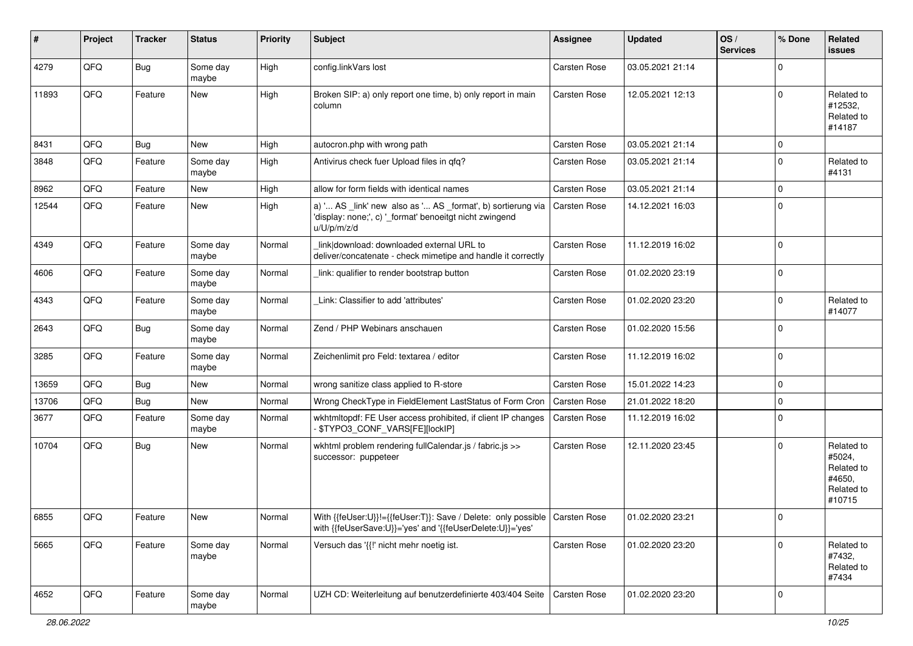| #     | Project | <b>Tracker</b> | <b>Status</b>     | <b>Priority</b> | Subject                                                                                                                                   | Assignee            | <b>Updated</b>   | OS/<br><b>Services</b> | % Done      | Related<br>issues                                                    |
|-------|---------|----------------|-------------------|-----------------|-------------------------------------------------------------------------------------------------------------------------------------------|---------------------|------------------|------------------------|-------------|----------------------------------------------------------------------|
| 4279  | QFQ     | Bug            | Some day<br>maybe | High            | config.linkVars lost                                                                                                                      | Carsten Rose        | 03.05.2021 21:14 |                        | $\Omega$    |                                                                      |
| 11893 | QFQ     | Feature        | New               | High            | Broken SIP: a) only report one time, b) only report in main<br>column                                                                     | <b>Carsten Rose</b> | 12.05.2021 12:13 |                        | $\Omega$    | Related to<br>#12532,<br>Related to<br>#14187                        |
| 8431  | QFQ     | Bug            | <b>New</b>        | High            | autocron.php with wrong path                                                                                                              | <b>Carsten Rose</b> | 03.05.2021 21:14 |                        | $\mathbf 0$ |                                                                      |
| 3848  | QFQ     | Feature        | Some day<br>maybe | High            | Antivirus check fuer Upload files in gfg?                                                                                                 | Carsten Rose        | 03.05.2021 21:14 |                        | $\Omega$    | Related to<br>#4131                                                  |
| 8962  | QFQ     | Feature        | New               | High            | allow for form fields with identical names                                                                                                | <b>Carsten Rose</b> | 03.05.2021 21:14 |                        | $\mathbf 0$ |                                                                      |
| 12544 | QFQ     | Feature        | New               | High            | a) ' AS _link' new also as ' AS _format', b) sortierung via<br>'display: none;', c) '_format' benoeitgt nicht zwingend<br>u/U/p/m/z/d     | <b>Carsten Rose</b> | 14.12.2021 16:03 |                        | $\Omega$    |                                                                      |
| 4349  | QFQ     | Feature        | Some day<br>maybe | Normal          | link download: downloaded external URL to<br>deliver/concatenate - check mimetipe and handle it correctly                                 | Carsten Rose        | 11.12.2019 16:02 |                        | $\Omega$    |                                                                      |
| 4606  | QFQ     | Feature        | Some day<br>maybe | Normal          | link: qualifier to render bootstrap button                                                                                                | Carsten Rose        | 01.02.2020 23:19 |                        | $\mathbf 0$ |                                                                      |
| 4343  | QFQ     | Feature        | Some day<br>maybe | Normal          | Link: Classifier to add 'attributes'                                                                                                      | Carsten Rose        | 01.02.2020 23:20 |                        | $\Omega$    | Related to<br>#14077                                                 |
| 2643  | QFQ     | Bug            | Some day<br>maybe | Normal          | Zend / PHP Webinars anschauen                                                                                                             | Carsten Rose        | 01.02.2020 15:56 |                        | $\mathbf 0$ |                                                                      |
| 3285  | QFQ     | Feature        | Some day<br>maybe | Normal          | Zeichenlimit pro Feld: textarea / editor                                                                                                  | Carsten Rose        | 11.12.2019 16:02 |                        | $\Omega$    |                                                                      |
| 13659 | QFQ     | <b>Bug</b>     | New               | Normal          | wrong sanitize class applied to R-store                                                                                                   | <b>Carsten Rose</b> | 15.01.2022 14:23 |                        | $\mathbf 0$ |                                                                      |
| 13706 | QFQ     | Bug            | New               | Normal          | Wrong CheckType in FieldElement LastStatus of Form Cron                                                                                   | <b>Carsten Rose</b> | 21.01.2022 18:20 |                        | $\Omega$    |                                                                      |
| 3677  | QFQ     | Feature        | Some day<br>maybe | Normal          | wkhtmltopdf: FE User access prohibited, if client IP changes<br>\$TYPO3_CONF_VARS[FE][lockIP]                                             | Carsten Rose        | 11.12.2019 16:02 |                        | $\mathbf 0$ |                                                                      |
| 10704 | QFQ     | Bug            | New               | Normal          | wkhtml problem rendering fullCalendar.js / fabric.js >><br>successor: puppeteer                                                           | Carsten Rose        | 12.11.2020 23:45 |                        | $\Omega$    | Related to<br>#5024,<br>Related to<br>#4650,<br>Related to<br>#10715 |
| 6855  | QFQ     | Feature        | New               | Normal          | With {{feUser:U}}!={{feUser:T}}: Save / Delete: only possible   Carsten Rose<br>with {{feUserSave:U}}='yes' and '{{feUserDelete:U}}='yes' |                     | 01.02.2020 23:21 |                        | 0           |                                                                      |
| 5665  | QFQ     | Feature        | Some day<br>maybe | Normal          | Versuch das '{{!' nicht mehr noetig ist.                                                                                                  | Carsten Rose        | 01.02.2020 23:20 |                        | $\Omega$    | Related to<br>#7432,<br>Related to<br>#7434                          |
| 4652  | QFQ     | Feature        | Some day<br>maybe | Normal          | UZH CD: Weiterleitung auf benutzerdefinierte 403/404 Seite                                                                                | Carsten Rose        | 01.02.2020 23:20 |                        | 0           |                                                                      |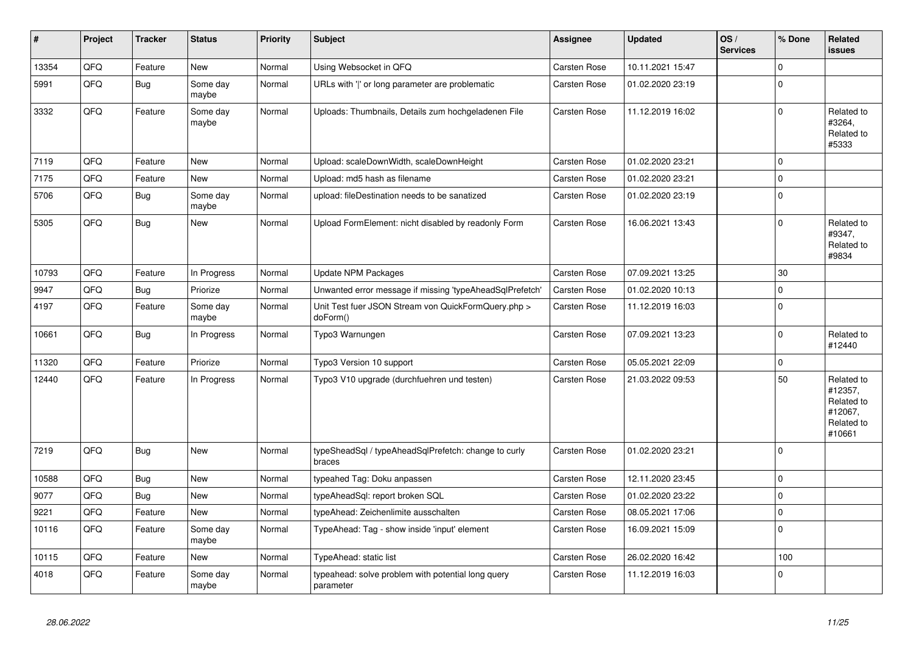| #     | Project | <b>Tracker</b> | <b>Status</b>     | <b>Priority</b> | <b>Subject</b>                                                  | Assignee            | <b>Updated</b>   | OS/<br><b>Services</b> | % Done      | Related<br><b>issues</b>                                               |
|-------|---------|----------------|-------------------|-----------------|-----------------------------------------------------------------|---------------------|------------------|------------------------|-------------|------------------------------------------------------------------------|
| 13354 | QFQ     | Feature        | <b>New</b>        | Normal          | Using Websocket in QFQ                                          | Carsten Rose        | 10.11.2021 15:47 |                        | $\Omega$    |                                                                        |
| 5991  | QFQ     | <b>Bug</b>     | Some day<br>maybe | Normal          | URLs with 'I' or long parameter are problematic                 | Carsten Rose        | 01.02.2020 23:19 |                        | $\Omega$    |                                                                        |
| 3332  | QFQ     | Feature        | Some day<br>maybe | Normal          | Uploads: Thumbnails, Details zum hochgeladenen File             | Carsten Rose        | 11.12.2019 16:02 |                        | $\Omega$    | Related to<br>#3264,<br>Related to<br>#5333                            |
| 7119  | QFQ     | Feature        | <b>New</b>        | Normal          | Upload: scaleDownWidth, scaleDownHeight                         | <b>Carsten Rose</b> | 01.02.2020 23:21 |                        | $\Omega$    |                                                                        |
| 7175  | QFQ     | Feature        | <b>New</b>        | Normal          | Upload: md5 hash as filename                                    | Carsten Rose        | 01.02.2020 23:21 |                        | $\mathbf 0$ |                                                                        |
| 5706  | QFQ     | Bug            | Some day<br>maybe | Normal          | upload: fileDestination needs to be sanatized                   | Carsten Rose        | 01.02.2020 23:19 |                        | $\Omega$    |                                                                        |
| 5305  | QFQ     | Bug            | <b>New</b>        | Normal          | Upload FormElement: nicht disabled by readonly Form             | Carsten Rose        | 16.06.2021 13:43 |                        | $\Omega$    | Related to<br>#9347,<br>Related to<br>#9834                            |
| 10793 | QFQ     | Feature        | In Progress       | Normal          | <b>Update NPM Packages</b>                                      | Carsten Rose        | 07.09.2021 13:25 |                        | 30          |                                                                        |
| 9947  | QFQ     | <b>Bug</b>     | Priorize          | Normal          | Unwanted error message if missing 'typeAheadSqlPrefetch'        | Carsten Rose        | 01.02.2020 10:13 |                        | $\Omega$    |                                                                        |
| 4197  | QFQ     | Feature        | Some day<br>maybe | Normal          | Unit Test fuer JSON Stream von QuickFormQuery.php ><br>doForm() | Carsten Rose        | 11.12.2019 16:03 |                        | $\Omega$    |                                                                        |
| 10661 | QFQ     | Bug            | In Progress       | Normal          | Typo3 Warnungen                                                 | Carsten Rose        | 07.09.2021 13:23 |                        | $\mathbf 0$ | Related to<br>#12440                                                   |
| 11320 | QFQ     | Feature        | Priorize          | Normal          | Typo3 Version 10 support                                        | Carsten Rose        | 05.05.2021 22:09 |                        | $\mathbf 0$ |                                                                        |
| 12440 | QFQ     | Feature        | In Progress       | Normal          | Typo3 V10 upgrade (durchfuehren und testen)                     | Carsten Rose        | 21.03.2022 09:53 |                        | 50          | Related to<br>#12357,<br>Related to<br>#12067,<br>Related to<br>#10661 |
| 7219  | QFQ     | <b>Bug</b>     | New               | Normal          | typeSheadSql / typeAheadSqlPrefetch: change to curly<br>braces  | Carsten Rose        | 01.02.2020 23:21 |                        | 0           |                                                                        |
| 10588 | QFQ     | Bug            | <b>New</b>        | Normal          | typeahed Tag: Doku anpassen                                     | Carsten Rose        | 12.11.2020 23:45 |                        | $\mathbf 0$ |                                                                        |
| 9077  | QFQ     | Bug            | <b>New</b>        | Normal          | typeAheadSql: report broken SQL                                 | Carsten Rose        | 01.02.2020 23:22 |                        | $\mathbf 0$ |                                                                        |
| 9221  | QFQ     | Feature        | <b>New</b>        | Normal          | typeAhead: Zeichenlimite ausschalten                            | Carsten Rose        | 08.05.2021 17:06 |                        | $\mathbf 0$ |                                                                        |
| 10116 | QFQ     | Feature        | Some day<br>maybe | Normal          | TypeAhead: Tag - show inside 'input' element                    | Carsten Rose        | 16.09.2021 15:09 |                        | $\Omega$    |                                                                        |
| 10115 | QFQ     | Feature        | <b>New</b>        | Normal          | TypeAhead: static list                                          | Carsten Rose        | 26.02.2020 16:42 |                        | 100         |                                                                        |
| 4018  | QFQ     | Feature        | Some day<br>maybe | Normal          | typeahead: solve problem with potential long query<br>parameter | Carsten Rose        | 11.12.2019 16:03 |                        | $\Omega$    |                                                                        |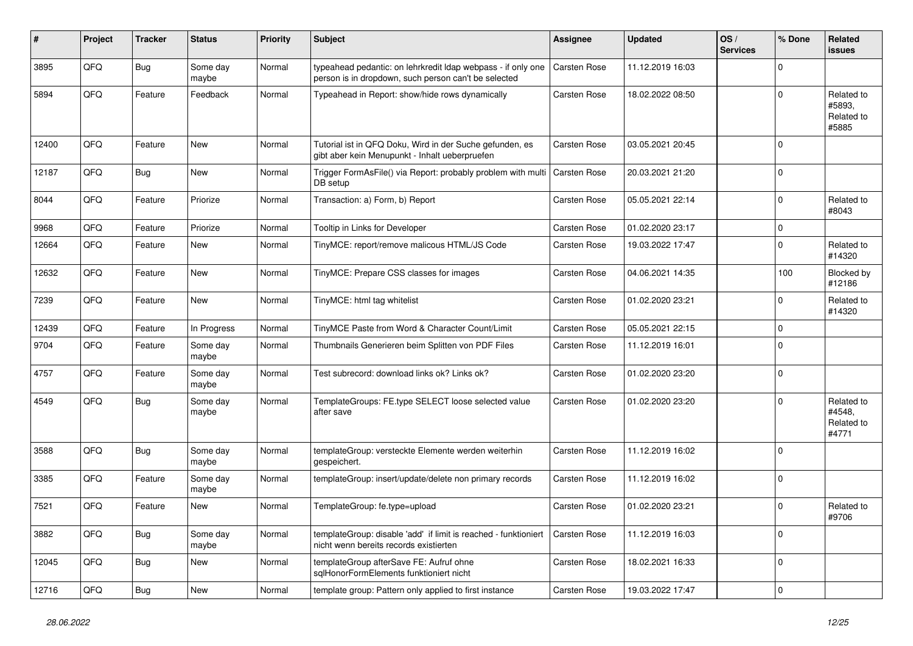| #     | Project | <b>Tracker</b> | <b>Status</b>     | <b>Priority</b> | Subject                                                                                                              | Assignee            | <b>Updated</b>   | OS/<br><b>Services</b> | % Done      | Related<br>issues                           |
|-------|---------|----------------|-------------------|-----------------|----------------------------------------------------------------------------------------------------------------------|---------------------|------------------|------------------------|-------------|---------------------------------------------|
| 3895  | QFQ     | <b>Bug</b>     | Some day<br>maybe | Normal          | typeahead pedantic: on lehrkredit Idap webpass - if only one<br>person is in dropdown, such person can't be selected | <b>Carsten Rose</b> | 11.12.2019 16:03 |                        | $\Omega$    |                                             |
| 5894  | QFQ     | Feature        | Feedback          | Normal          | Typeahead in Report: show/hide rows dynamically                                                                      | Carsten Rose        | 18.02.2022 08:50 |                        | $\Omega$    | Related to<br>#5893.<br>Related to<br>#5885 |
| 12400 | QFQ     | Feature        | <b>New</b>        | Normal          | Tutorial ist in QFQ Doku, Wird in der Suche gefunden, es<br>gibt aber kein Menupunkt - Inhalt ueberpruefen           | <b>Carsten Rose</b> | 03.05.2021 20:45 |                        | $\Omega$    |                                             |
| 12187 | QFQ     | <b>Bug</b>     | <b>New</b>        | Normal          | Trigger FormAsFile() via Report: probably problem with multi<br>DB setup                                             | <b>Carsten Rose</b> | 20.03.2021 21:20 |                        | $\Omega$    |                                             |
| 8044  | QFQ     | Feature        | Priorize          | Normal          | Transaction: a) Form, b) Report                                                                                      | Carsten Rose        | 05.05.2021 22:14 |                        | $\Omega$    | Related to<br>#8043                         |
| 9968  | QFQ     | Feature        | Priorize          | Normal          | Tooltip in Links for Developer                                                                                       | Carsten Rose        | 01.02.2020 23:17 |                        | $\mathbf 0$ |                                             |
| 12664 | QFQ     | Feature        | New               | Normal          | TinyMCE: report/remove malicous HTML/JS Code                                                                         | Carsten Rose        | 19.03.2022 17:47 |                        | $\Omega$    | Related to<br>#14320                        |
| 12632 | QFQ     | Feature        | <b>New</b>        | Normal          | TinyMCE: Prepare CSS classes for images                                                                              | Carsten Rose        | 04.06.2021 14:35 |                        | 100         | Blocked by<br>#12186                        |
| 7239  | QFQ     | Feature        | <b>New</b>        | Normal          | TinyMCE: html tag whitelist                                                                                          | Carsten Rose        | 01.02.2020 23:21 |                        | $\Omega$    | Related to<br>#14320                        |
| 12439 | QFQ     | Feature        | In Progress       | Normal          | TinyMCE Paste from Word & Character Count/Limit                                                                      | Carsten Rose        | 05.05.2021 22:15 |                        | $\Omega$    |                                             |
| 9704  | QFQ     | Feature        | Some day<br>maybe | Normal          | Thumbnails Generieren beim Splitten von PDF Files                                                                    | Carsten Rose        | 11.12.2019 16:01 |                        | $\Omega$    |                                             |
| 4757  | QFQ     | Feature        | Some day<br>maybe | Normal          | Test subrecord: download links ok? Links ok?                                                                         | Carsten Rose        | 01.02.2020 23:20 |                        | $\mathbf 0$ |                                             |
| 4549  | QFQ     | <b>Bug</b>     | Some day<br>maybe | Normal          | TemplateGroups: FE.type SELECT loose selected value<br>after save                                                    | Carsten Rose        | 01.02.2020 23:20 |                        | $\Omega$    | Related to<br>#4548,<br>Related to<br>#4771 |
| 3588  | QFQ     | <b>Bug</b>     | Some day<br>maybe | Normal          | templateGroup: versteckte Elemente werden weiterhin<br>gespeichert.                                                  | Carsten Rose        | 11.12.2019 16:02 |                        | $\Omega$    |                                             |
| 3385  | QFQ     | Feature        | Some day<br>maybe | Normal          | templateGroup: insert/update/delete non primary records                                                              | Carsten Rose        | 11.12.2019 16:02 |                        | $\mathbf 0$ |                                             |
| 7521  | QFQ     | Feature        | <b>New</b>        | Normal          | TemplateGroup: fe.type=upload                                                                                        | Carsten Rose        | 01.02.2020 23:21 |                        | $\Omega$    | Related to<br>#9706                         |
| 3882  | QFQ     | Bug            | Some day<br>maybe | Normal          | templateGroup: disable 'add' if limit is reached - funktioniert<br>nicht wenn bereits records existierten            | <b>Carsten Rose</b> | 11.12.2019 16:03 |                        | $\mathbf 0$ |                                             |
| 12045 | QFQ     | <b>Bug</b>     | New               | Normal          | templateGroup afterSave FE: Aufruf ohne<br>sqlHonorFormElements funktioniert nicht                                   | Carsten Rose        | 18.02.2021 16:33 |                        | 0           |                                             |
| 12716 | QFQ     | <b>Bug</b>     | New               | Normal          | template group: Pattern only applied to first instance                                                               | Carsten Rose        | 19.03.2022 17:47 |                        | $\mathbf 0$ |                                             |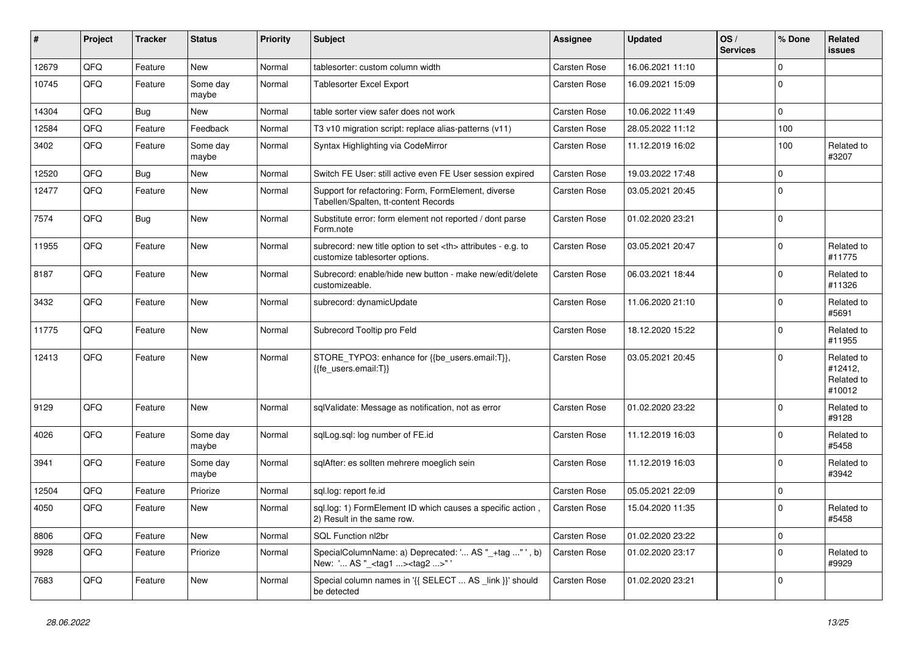| #     | Project | <b>Tracker</b> | <b>Status</b>     | <b>Priority</b> | Subject                                                                                              | <b>Assignee</b>                                        | <b>Updated</b>   | OS/<br><b>Services</b> | % Done         | Related<br><b>issues</b>                      |                      |
|-------|---------|----------------|-------------------|-----------------|------------------------------------------------------------------------------------------------------|--------------------------------------------------------|------------------|------------------------|----------------|-----------------------------------------------|----------------------|
| 12679 | QFQ     | Feature        | <b>New</b>        | Normal          | tablesorter: custom column width                                                                     | Carsten Rose                                           | 16.06.2021 11:10 |                        | $\mathbf 0$    |                                               |                      |
| 10745 | QFQ     | Feature        | Some day<br>maybe | Normal          | <b>Tablesorter Excel Export</b>                                                                      | Carsten Rose                                           | 16.09.2021 15:09 |                        | $\Omega$       |                                               |                      |
| 14304 | QFQ     | Bug            | New               | Normal          | table sorter view safer does not work                                                                | Carsten Rose                                           | 10.06.2022 11:49 |                        | $\mathbf 0$    |                                               |                      |
| 12584 | QFQ     | Feature        | Feedback          | Normal          | T3 v10 migration script: replace alias-patterns (v11)                                                | Carsten Rose                                           | 28.05.2022 11:12 |                        | 100            |                                               |                      |
| 3402  | QFQ     | Feature        | Some day<br>maybe | Normal          | Syntax Highlighting via CodeMirror                                                                   | Carsten Rose                                           | 11.12.2019 16:02 |                        | 100            | Related to<br>#3207                           |                      |
| 12520 | QFQ     | Bug            | New               | Normal          | Switch FE User: still active even FE User session expired                                            | Carsten Rose                                           | 19.03.2022 17:48 |                        | $\Omega$       |                                               |                      |
| 12477 | QFQ     | Feature        | New               | Normal          | Support for refactoring: Form, FormElement, diverse<br>Tabellen/Spalten, tt-content Records          | Carsten Rose                                           | 03.05.2021 20:45 |                        | $\mathbf 0$    |                                               |                      |
| 7574  | QFQ     | Bug            | <b>New</b>        | Normal          | Substitute error: form element not reported / dont parse<br>Form.note                                | Carsten Rose                                           | 01.02.2020 23:21 |                        | $\mathbf 0$    |                                               |                      |
| 11955 | QFQ     | Feature        | New               | Normal          | subrecord: new title option to set <th> attributes - e.g. to<br/>customize tablesorter options.</th> | attributes - e.g. to<br>customize tablesorter options. | Carsten Rose     | 03.05.2021 20:47       |                | $\Omega$                                      | Related to<br>#11775 |
| 8187  | QFQ     | Feature        | New               | Normal          | Subrecord: enable/hide new button - make new/edit/delete<br>customizeable.                           | Carsten Rose                                           | 06.03.2021 18:44 |                        | $\mathbf 0$    | Related to<br>#11326                          |                      |
| 3432  | QFQ     | Feature        | New               | Normal          | subrecord: dynamicUpdate                                                                             | Carsten Rose                                           | 11.06.2020 21:10 |                        | $\mathbf 0$    | Related to<br>#5691                           |                      |
| 11775 | QFQ     | Feature        | New               | Normal          | Subrecord Tooltip pro Feld                                                                           | Carsten Rose                                           | 18.12.2020 15:22 |                        | $\Omega$       | Related to<br>#11955                          |                      |
| 12413 | QFQ     | Feature        | New               | Normal          | STORE_TYPO3: enhance for {{be_users.email:T}},<br>{{fe users.email:T}}                               | Carsten Rose                                           | 03.05.2021 20:45 |                        | $\mathbf 0$    | Related to<br>#12412,<br>Related to<br>#10012 |                      |
| 9129  | QFQ     | Feature        | New               | Normal          | sqlValidate: Message as notification, not as error                                                   | Carsten Rose                                           | 01.02.2020 23:22 |                        | $\mathbf 0$    | Related to<br>#9128                           |                      |
| 4026  | QFQ     | Feature        | Some day<br>maybe | Normal          | sqlLog.sql: log number of FE.id                                                                      | Carsten Rose                                           | 11.12.2019 16:03 |                        | $\Omega$       | Related to<br>#5458                           |                      |
| 3941  | QFQ     | Feature        | Some day<br>maybe | Normal          | sqlAfter: es sollten mehrere moeglich sein                                                           | Carsten Rose                                           | 11.12.2019 16:03 |                        | $\Omega$       | Related to<br>#3942                           |                      |
| 12504 | QFQ     | Feature        | Priorize          | Normal          | sql.log: report fe.id                                                                                | Carsten Rose                                           | 05.05.2021 22:09 |                        | 0              |                                               |                      |
| 4050  | QFQ     | Feature        | <b>New</b>        | Normal          | sql.log: 1) FormElement ID which causes a specific action,<br>2) Result in the same row.             | Carsten Rose                                           | 15.04.2020 11:35 |                        | $\mathbf 0$    | Related to<br>#5458                           |                      |
| 8806  | QFQ     | Feature        | New               | Normal          | SQL Function nl2br                                                                                   | Carsten Rose                                           | 01.02.2020 23:22 |                        | $\overline{0}$ |                                               |                      |
| 9928  | QFQ     | Feature        | Priorize          | Normal          | SpecialColumnName: a) Deprecated: ' AS "_+tag " ', b)<br>New: ' AS "_ <tag1><tag2>"'</tag2></tag1>   | Carsten Rose                                           | 01.02.2020 23:17 |                        | 0              | Related to<br>#9929                           |                      |
| 7683  | QFQ     | Feature        | New               | Normal          | Special column names in '{{ SELECT  AS _link }}' should<br>be detected                               | Carsten Rose                                           | 01.02.2020 23:21 |                        | 0              |                                               |                      |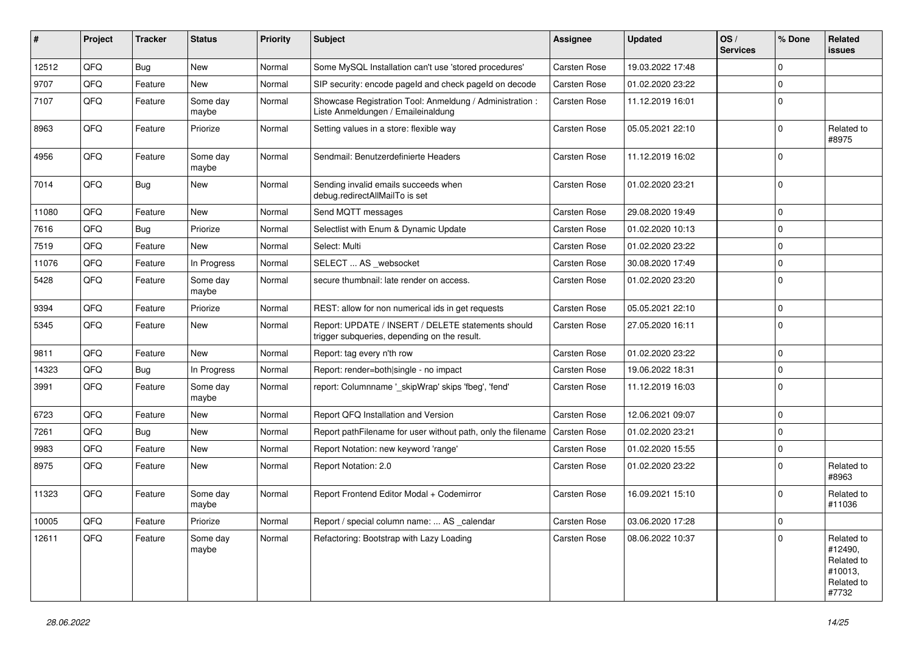| ∦     | Project | <b>Tracker</b> | <b>Status</b>     | <b>Priority</b> | <b>Subject</b>                                                                                     | <b>Assignee</b>     | <b>Updated</b>   | OS/<br><b>Services</b> | % Done      | Related<br><b>issues</b>                                              |
|-------|---------|----------------|-------------------|-----------------|----------------------------------------------------------------------------------------------------|---------------------|------------------|------------------------|-------------|-----------------------------------------------------------------------|
| 12512 | QFQ     | <b>Bug</b>     | <b>New</b>        | Normal          | Some MySQL Installation can't use 'stored procedures'                                              | Carsten Rose        | 19.03.2022 17:48 |                        | $\Omega$    |                                                                       |
| 9707  | QFQ     | Feature        | New               | Normal          | SIP security: encode pageld and check pageld on decode                                             | Carsten Rose        | 01.02.2020 23:22 |                        | $\mathbf 0$ |                                                                       |
| 7107  | QFQ     | Feature        | Some day<br>maybe | Normal          | Showcase Registration Tool: Anmeldung / Administration :<br>Liste Anmeldungen / Emaileinaldung     | Carsten Rose        | 11.12.2019 16:01 |                        | $\Omega$    |                                                                       |
| 8963  | QFQ     | Feature        | Priorize          | Normal          | Setting values in a store: flexible way                                                            | Carsten Rose        | 05.05.2021 22:10 |                        | $\Omega$    | Related to<br>#8975                                                   |
| 4956  | QFQ     | Feature        | Some day<br>maybe | Normal          | Sendmail: Benutzerdefinierte Headers                                                               | Carsten Rose        | 11.12.2019 16:02 |                        | $\mathbf 0$ |                                                                       |
| 7014  | QFQ     | <b>Bug</b>     | New               | Normal          | Sending invalid emails succeeds when<br>debug.redirectAllMailTo is set                             | Carsten Rose        | 01.02.2020 23:21 |                        | 0           |                                                                       |
| 11080 | QFQ     | Feature        | New               | Normal          | Send MQTT messages                                                                                 | Carsten Rose        | 29.08.2020 19:49 |                        | $\mathbf 0$ |                                                                       |
| 7616  | QFQ     | <b>Bug</b>     | Priorize          | Normal          | Selectlist with Enum & Dynamic Update                                                              | Carsten Rose        | 01.02.2020 10:13 |                        | $\mathbf 0$ |                                                                       |
| 7519  | QFQ     | Feature        | <b>New</b>        | Normal          | Select: Multi                                                                                      | Carsten Rose        | 01.02.2020 23:22 |                        | 0           |                                                                       |
| 11076 | QFQ     | Feature        | In Progress       | Normal          | SELECT  AS _websocket                                                                              | Carsten Rose        | 30.08.2020 17:49 |                        | $\mathbf 0$ |                                                                       |
| 5428  | QFQ     | Feature        | Some day<br>maybe | Normal          | secure thumbnail: late render on access.                                                           | Carsten Rose        | 01.02.2020 23:20 |                        | $\Omega$    |                                                                       |
| 9394  | QFQ     | Feature        | Priorize          | Normal          | REST: allow for non numerical ids in get requests                                                  | Carsten Rose        | 05.05.2021 22:10 |                        | $\mathbf 0$ |                                                                       |
| 5345  | QFQ     | Feature        | New               | Normal          | Report: UPDATE / INSERT / DELETE statements should<br>trigger subqueries, depending on the result. | Carsten Rose        | 27.05.2020 16:11 |                        | $\mathbf 0$ |                                                                       |
| 9811  | QFQ     | Feature        | <b>New</b>        | Normal          | Report: tag every n'th row                                                                         | Carsten Rose        | 01.02.2020 23:22 |                        | $\mathbf 0$ |                                                                       |
| 14323 | QFQ     | <b>Bug</b>     | In Progress       | Normal          | Report: render=both single - no impact                                                             | Carsten Rose        | 19.06.2022 18:31 |                        | $\Omega$    |                                                                       |
| 3991  | QFQ     | Feature        | Some day<br>maybe | Normal          | report: Columnname ' skipWrap' skips 'fbeg', 'fend'                                                | Carsten Rose        | 11.12.2019 16:03 |                        | $\mathbf 0$ |                                                                       |
| 6723  | QFQ     | Feature        | New               | Normal          | Report QFQ Installation and Version                                                                | Carsten Rose        | 12.06.2021 09:07 |                        | $\Omega$    |                                                                       |
| 7261  | QFQ     | <b>Bug</b>     | <b>New</b>        | Normal          | Report pathFilename for user without path, only the filename                                       | Carsten Rose        | 01.02.2020 23:21 |                        | $\Omega$    |                                                                       |
| 9983  | QFQ     | Feature        | <b>New</b>        | Normal          | Report Notation: new keyword 'range'                                                               | <b>Carsten Rose</b> | 01.02.2020 15:55 |                        | 0           |                                                                       |
| 8975  | QFQ     | Feature        | New               | Normal          | Report Notation: 2.0                                                                               | Carsten Rose        | 01.02.2020 23:22 |                        | $\Omega$    | Related to<br>#8963                                                   |
| 11323 | QFQ     | Feature        | Some day<br>maybe | Normal          | Report Frontend Editor Modal + Codemirror                                                          | Carsten Rose        | 16.09.2021 15:10 |                        | $\Omega$    | Related to<br>#11036                                                  |
| 10005 | QFQ     | Feature        | Priorize          | Normal          | Report / special column name:  AS _calendar                                                        | Carsten Rose        | 03.06.2020 17:28 |                        | 0           |                                                                       |
| 12611 | QFQ     | Feature        | Some day<br>maybe | Normal          | Refactoring: Bootstrap with Lazy Loading                                                           | Carsten Rose        | 08.06.2022 10:37 |                        | $\Omega$    | Related to<br>#12490,<br>Related to<br>#10013,<br>Related to<br>#7732 |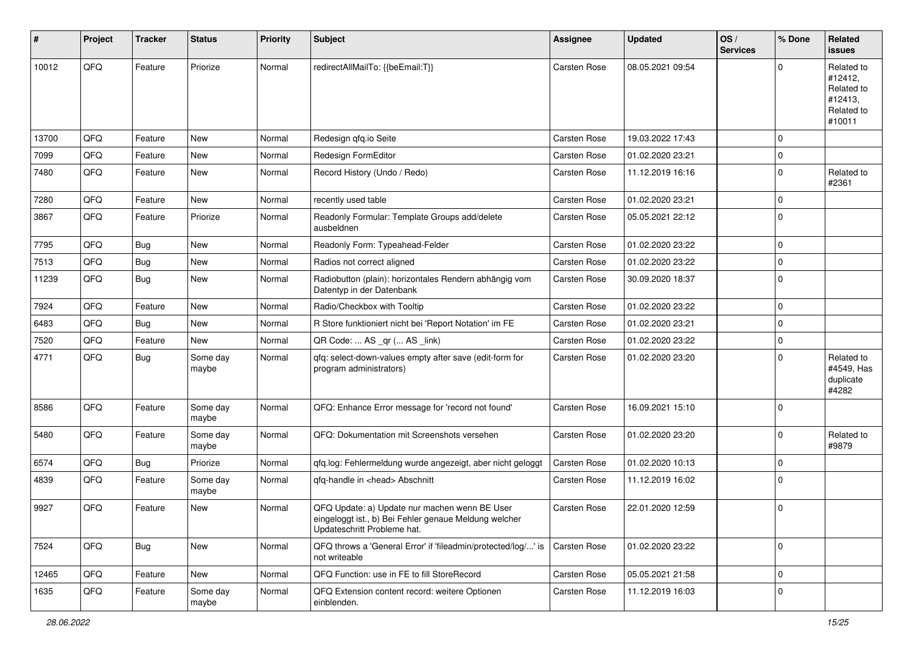| #     | Project | <b>Tracker</b> | <b>Status</b>     | <b>Priority</b> | <b>Subject</b>                                                                                                                        | <b>Assignee</b>     | <b>Updated</b>   | OS/<br><b>Services</b> | % Done      | Related<br>issues                                                      |
|-------|---------|----------------|-------------------|-----------------|---------------------------------------------------------------------------------------------------------------------------------------|---------------------|------------------|------------------------|-------------|------------------------------------------------------------------------|
| 10012 | QFQ     | Feature        | Priorize          | Normal          | redirectAllMailTo: {{beEmail:T}}                                                                                                      | <b>Carsten Rose</b> | 08.05.2021 09:54 |                        | $\Omega$    | Related to<br>#12412,<br>Related to<br>#12413,<br>Related to<br>#10011 |
| 13700 | QFQ     | Feature        | <b>New</b>        | Normal          | Redesign qfq.io Seite                                                                                                                 | <b>Carsten Rose</b> | 19.03.2022 17:43 |                        | $\mathbf 0$ |                                                                        |
| 7099  | QFQ     | Feature        | New               | Normal          | Redesign FormEditor                                                                                                                   | Carsten Rose        | 01.02.2020 23:21 |                        | $\Omega$    |                                                                        |
| 7480  | QFQ     | Feature        | New               | Normal          | Record History (Undo / Redo)                                                                                                          | Carsten Rose        | 11.12.2019 16:16 |                        | $\mathbf 0$ | Related to<br>#2361                                                    |
| 7280  | QFQ     | Feature        | <b>New</b>        | Normal          | recently used table                                                                                                                   | Carsten Rose        | 01.02.2020 23:21 |                        | $\Omega$    |                                                                        |
| 3867  | QFQ     | Feature        | Priorize          | Normal          | Readonly Formular: Template Groups add/delete<br>ausbeldnen                                                                           | Carsten Rose        | 05.05.2021 22:12 |                        | $\Omega$    |                                                                        |
| 7795  | QFQ     | <b>Bug</b>     | <b>New</b>        | Normal          | Readonly Form: Typeahead-Felder                                                                                                       | Carsten Rose        | 01.02.2020 23:22 |                        | $\mathbf 0$ |                                                                        |
| 7513  | QFQ     | <b>Bug</b>     | <b>New</b>        | Normal          | Radios not correct aligned                                                                                                            | Carsten Rose        | 01.02.2020 23:22 |                        | $\mathbf 0$ |                                                                        |
| 11239 | QFQ     | <b>Bug</b>     | <b>New</b>        | Normal          | Radiobutton (plain): horizontales Rendern abhängig vom<br>Datentyp in der Datenbank                                                   | Carsten Rose        | 30.09.2020 18:37 |                        | $\Omega$    |                                                                        |
| 7924  | QFQ     | Feature        | <b>New</b>        | Normal          | Radio/Checkbox with Tooltip                                                                                                           | <b>Carsten Rose</b> | 01.02.2020 23:22 |                        | $\mathbf 0$ |                                                                        |
| 6483  | QFQ     | Bug            | New               | Normal          | R Store funktioniert nicht bei 'Report Notation' im FE                                                                                | Carsten Rose        | 01.02.2020 23:21 |                        | $\mathbf 0$ |                                                                        |
| 7520  | QFQ     | Feature        | New               | Normal          | QR Code:  AS _qr ( AS _link)                                                                                                          | Carsten Rose        | 01.02.2020 23:22 |                        | $\mathbf 0$ |                                                                        |
| 4771  | QFQ     | <b>Bug</b>     | Some day<br>maybe | Normal          | qfq: select-down-values empty after save (edit-form for<br>program administrators)                                                    | Carsten Rose        | 01.02.2020 23:20 |                        | $\Omega$    | Related to<br>#4549, Has<br>duplicate<br>#4282                         |
| 8586  | QFQ     | Feature        | Some day<br>maybe | Normal          | QFQ: Enhance Error message for 'record not found'                                                                                     | <b>Carsten Rose</b> | 16.09.2021 15:10 |                        | $\mathbf 0$ |                                                                        |
| 5480  | QFQ     | Feature        | Some day<br>maybe | Normal          | QFQ: Dokumentation mit Screenshots versehen                                                                                           | Carsten Rose        | 01.02.2020 23:20 |                        | $\Omega$    | Related to<br>#9879                                                    |
| 6574  | QFQ     | Bug            | Priorize          | Normal          | qfq.log: Fehlermeldung wurde angezeigt, aber nicht geloggt                                                                            | <b>Carsten Rose</b> | 01.02.2020 10:13 |                        | $\mathbf 0$ |                                                                        |
| 4839  | QFQ     | Feature        | Some day<br>maybe | Normal          | qfq-handle in <head> Abschnitt</head>                                                                                                 | Carsten Rose        | 11.12.2019 16:02 |                        | $\Omega$    |                                                                        |
| 9927  | QFQ     | Feature        | New               | Normal          | QFQ Update: a) Update nur machen wenn BE User<br>eingeloggt ist., b) Bei Fehler genaue Meldung welcher<br>Updateschritt Probleme hat. | <b>Carsten Rose</b> | 22.01.2020 12:59 |                        | 0           |                                                                        |
| 7524  | QFQ     | <b>Bug</b>     | New               | Normal          | QFQ throws a 'General Error' if 'fileadmin/protected/log/' is<br>not writeable                                                        | Carsten Rose        | 01.02.2020 23:22 |                        | 0           |                                                                        |
| 12465 | QFQ     | Feature        | New               | Normal          | QFQ Function: use in FE to fill StoreRecord                                                                                           | Carsten Rose        | 05.05.2021 21:58 |                        | 0           |                                                                        |
| 1635  | QFQ     | Feature        | Some day<br>maybe | Normal          | QFQ Extension content record: weitere Optionen<br>einblenden.                                                                         | Carsten Rose        | 11.12.2019 16:03 |                        | $\mathbf 0$ |                                                                        |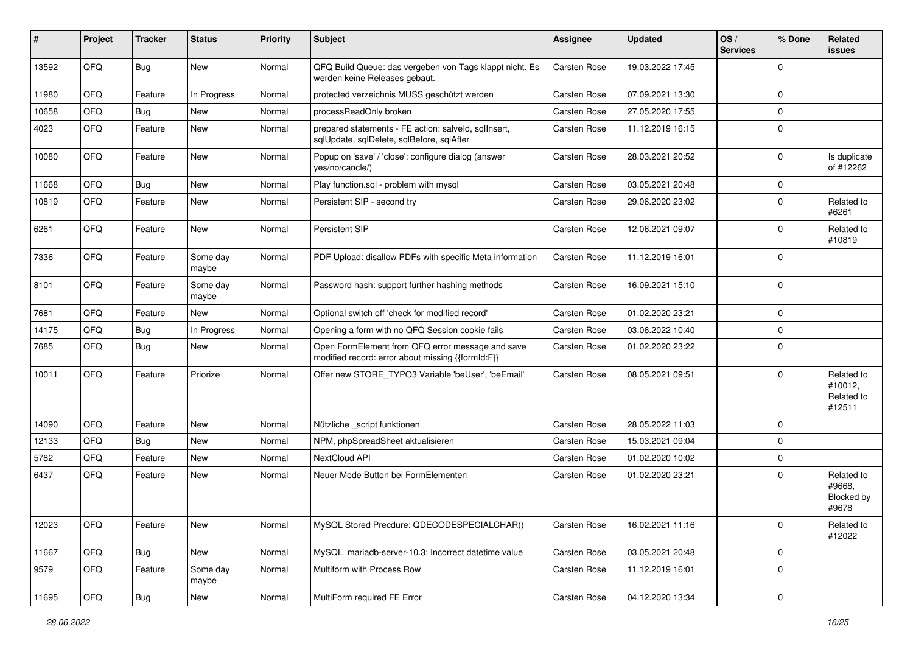| #     | Project | <b>Tracker</b> | <b>Status</b>     | <b>Priority</b> | Subject                                                                                               | Assignee            | <b>Updated</b>   | OS/<br><b>Services</b> | % Done                  | Related<br><b>issues</b>                      |
|-------|---------|----------------|-------------------|-----------------|-------------------------------------------------------------------------------------------------------|---------------------|------------------|------------------------|-------------------------|-----------------------------------------------|
| 13592 | QFQ     | Bug            | New               | Normal          | QFQ Build Queue: das vergeben von Tags klappt nicht. Es<br>werden keine Releases gebaut.              | Carsten Rose        | 19.03.2022 17:45 |                        | $\Omega$                |                                               |
| 11980 | QFQ     | Feature        | In Progress       | Normal          | protected verzeichnis MUSS geschützt werden                                                           | <b>Carsten Rose</b> | 07.09.2021 13:30 |                        | $\Omega$                |                                               |
| 10658 | QFQ     | Bug            | New               | Normal          | processReadOnly broken                                                                                | <b>Carsten Rose</b> | 27.05.2020 17:55 |                        | $\overline{\mathbf{0}}$ |                                               |
| 4023  | QFQ     | Feature        | New               | Normal          | prepared statements - FE action: salveld, sqlInsert,<br>sqlUpdate, sqlDelete, sqlBefore, sqlAfter     | <b>Carsten Rose</b> | 11.12.2019 16:15 |                        | $\Omega$                |                                               |
| 10080 | QFQ     | Feature        | New               | Normal          | Popup on 'save' / 'close': configure dialog (answer<br>yes/no/cancle/)                                | <b>Carsten Rose</b> | 28.03.2021 20:52 |                        | $\Omega$                | Is duplicate<br>of #12262                     |
| 11668 | QFQ     | <b>Bug</b>     | <b>New</b>        | Normal          | Play function.sql - problem with mysql                                                                | <b>Carsten Rose</b> | 03.05.2021 20:48 |                        | $\mathbf 0$             |                                               |
| 10819 | QFQ     | Feature        | New               | Normal          | Persistent SIP - second try                                                                           | <b>Carsten Rose</b> | 29.06.2020 23:02 |                        | $\mathbf 0$             | Related to<br>#6261                           |
| 6261  | QFQ     | Feature        | New               | Normal          | Persistent SIP                                                                                        | <b>Carsten Rose</b> | 12.06.2021 09:07 |                        | $\Omega$                | Related to<br>#10819                          |
| 7336  | QFQ     | Feature        | Some day<br>maybe | Normal          | PDF Upload: disallow PDFs with specific Meta information                                              | <b>Carsten Rose</b> | 11.12.2019 16:01 |                        | $\Omega$                |                                               |
| 8101  | QFQ     | Feature        | Some day<br>maybe | Normal          | Password hash: support further hashing methods                                                        | <b>Carsten Rose</b> | 16.09.2021 15:10 |                        | $\Omega$                |                                               |
| 7681  | QFQ     | Feature        | <b>New</b>        | Normal          | Optional switch off 'check for modified record'                                                       | Carsten Rose        | 01.02.2020 23:21 |                        | $\mathbf 0$             |                                               |
| 14175 | QFQ     | Bug            | In Progress       | Normal          | Opening a form with no QFQ Session cookie fails                                                       | <b>Carsten Rose</b> | 03.06.2022 10:40 |                        | $\Omega$                |                                               |
| 7685  | QFQ     | Bug            | <b>New</b>        | Normal          | Open FormElement from QFQ error message and save<br>modified record: error about missing {{formId:F}} | <b>Carsten Rose</b> | 01.02.2020 23:22 |                        | $\Omega$                |                                               |
| 10011 | QFQ     | Feature        | Priorize          | Normal          | Offer new STORE TYPO3 Variable 'beUser', 'beEmail'                                                    | <b>Carsten Rose</b> | 08.05.2021 09:51 |                        | $\Omega$                | Related to<br>#10012,<br>Related to<br>#12511 |
| 14090 | QFQ     | Feature        | <b>New</b>        | Normal          | Nützliche _script funktionen                                                                          | <b>Carsten Rose</b> | 28.05.2022 11:03 |                        | $\mathbf 0$             |                                               |
| 12133 | QFQ     | Bug            | <b>New</b>        | Normal          | NPM, phpSpreadSheet aktualisieren                                                                     | <b>Carsten Rose</b> | 15.03.2021 09:04 |                        | $\Omega$                |                                               |
| 5782  | QFQ     | Feature        | New               | Normal          | NextCloud API                                                                                         | <b>Carsten Rose</b> | 01.02.2020 10:02 |                        | $\mathbf 0$             |                                               |
| 6437  | QFQ     | Feature        | New               | Normal          | Neuer Mode Button bei FormElementen                                                                   | <b>Carsten Rose</b> | 01.02.2020 23:21 |                        | $\Omega$                | Related to<br>#9668,<br>Blocked by<br>#9678   |
| 12023 | QFQ     | Feature        | New               | Normal          | MySQL Stored Precdure: QDECODESPECIALCHAR()                                                           | Carsten Rose        | 16.02.2021 11:16 |                        | 0                       | Related to<br>#12022                          |
| 11667 | QFQ     | Bug            | New               | Normal          | MySQL mariadb-server-10.3: Incorrect datetime value                                                   | Carsten Rose        | 03.05.2021 20:48 |                        | 0                       |                                               |
| 9579  | QFQ     | Feature        | Some day<br>maybe | Normal          | Multiform with Process Row                                                                            | Carsten Rose        | 11.12.2019 16:01 |                        | $\mathbf 0$             |                                               |
| 11695 | QFG     | <b>Bug</b>     | New               | Normal          | MultiForm required FE Error                                                                           | Carsten Rose        | 04.12.2020 13:34 |                        | $\overline{0}$          |                                               |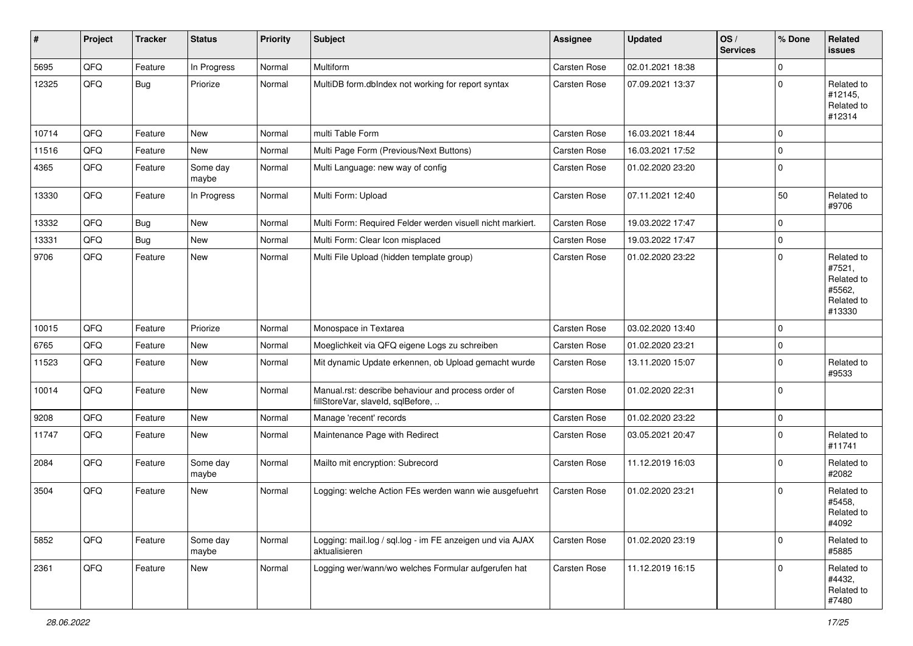| ∦     | Project | <b>Tracker</b> | <b>Status</b>     | <b>Priority</b> | Subject                                                                                  | <b>Assignee</b> | <b>Updated</b>   | OS/<br><b>Services</b> | % Done      | Related<br>issues                                                    |
|-------|---------|----------------|-------------------|-----------------|------------------------------------------------------------------------------------------|-----------------|------------------|------------------------|-------------|----------------------------------------------------------------------|
| 5695  | QFQ     | Feature        | In Progress       | Normal          | Multiform                                                                                | Carsten Rose    | 02.01.2021 18:38 |                        | $\mathbf 0$ |                                                                      |
| 12325 | QFQ     | Bug            | Priorize          | Normal          | MultiDB form.dblndex not working for report syntax                                       | Carsten Rose    | 07.09.2021 13:37 |                        | $\mathbf 0$ | Related to<br>#12145,<br>Related to<br>#12314                        |
| 10714 | QFQ     | Feature        | <b>New</b>        | Normal          | multi Table Form                                                                         | Carsten Rose    | 16.03.2021 18:44 |                        | $\mathbf 0$ |                                                                      |
| 11516 | QFQ     | Feature        | <b>New</b>        | Normal          | Multi Page Form (Previous/Next Buttons)                                                  | Carsten Rose    | 16.03.2021 17:52 |                        | $\mathbf 0$ |                                                                      |
| 4365  | QFQ     | Feature        | Some day<br>maybe | Normal          | Multi Language: new way of config                                                        | Carsten Rose    | 01.02.2020 23:20 |                        | $\Omega$    |                                                                      |
| 13330 | QFQ     | Feature        | In Progress       | Normal          | Multi Form: Upload                                                                       | Carsten Rose    | 07.11.2021 12:40 |                        | 50          | Related to<br>#9706                                                  |
| 13332 | QFQ     | <b>Bug</b>     | <b>New</b>        | Normal          | Multi Form: Required Felder werden visuell nicht markiert.                               | Carsten Rose    | 19.03.2022 17:47 |                        | $\mathbf 0$ |                                                                      |
| 13331 | QFQ     | Bug            | <b>New</b>        | Normal          | Multi Form: Clear Icon misplaced                                                         | Carsten Rose    | 19.03.2022 17:47 |                        | $\mathbf 0$ |                                                                      |
| 9706  | QFQ     | Feature        | <b>New</b>        | Normal          | Multi File Upload (hidden template group)                                                | Carsten Rose    | 01.02.2020 23:22 |                        | $\mathbf 0$ | Related to<br>#7521,<br>Related to<br>#5562,<br>Related to<br>#13330 |
| 10015 | QFQ     | Feature        | Priorize          | Normal          | Monospace in Textarea                                                                    | Carsten Rose    | 03.02.2020 13:40 |                        | $\mathbf 0$ |                                                                      |
| 6765  | QFQ     | Feature        | <b>New</b>        | Normal          | Moeglichkeit via QFQ eigene Logs zu schreiben                                            | Carsten Rose    | 01.02.2020 23:21 |                        | $\mathbf 0$ |                                                                      |
| 11523 | QFQ     | Feature        | <b>New</b>        | Normal          | Mit dynamic Update erkennen, ob Upload gemacht wurde                                     | Carsten Rose    | 13.11.2020 15:07 |                        | $\Omega$    | Related to<br>#9533                                                  |
| 10014 | QFQ     | Feature        | <b>New</b>        | Normal          | Manual.rst: describe behaviour and process order of<br>fillStoreVar, slaveId, sqlBefore, | Carsten Rose    | 01.02.2020 22:31 |                        | $\mathbf 0$ |                                                                      |
| 9208  | QFQ     | Feature        | <b>New</b>        | Normal          | Manage 'recent' records                                                                  | Carsten Rose    | 01.02.2020 23:22 |                        | $\mathbf 0$ |                                                                      |
| 11747 | QFQ     | Feature        | New               | Normal          | Maintenance Page with Redirect                                                           | Carsten Rose    | 03.05.2021 20:47 |                        | $\mathbf 0$ | Related to<br>#11741                                                 |
| 2084  | QFQ     | Feature        | Some day<br>maybe | Normal          | Mailto mit encryption: Subrecord                                                         | Carsten Rose    | 11.12.2019 16:03 |                        | $\Omega$    | Related to<br>#2082                                                  |
| 3504  | QFQ     | Feature        | New               | Normal          | Logging: welche Action FEs werden wann wie ausgefuehrt                                   | Carsten Rose    | 01.02.2020 23:21 |                        | $\Omega$    | Related to<br>#5458,<br>Related to<br>#4092                          |
| 5852  | QFQ     | Feature        | Some day<br>maybe | Normal          | Logging: mail.log / sql.log - im FE anzeigen und via AJAX<br>aktualisieren               | Carsten Rose    | 01.02.2020 23:19 |                        | $\mathbf 0$ | Related to<br>#5885                                                  |
| 2361  | QFQ     | Feature        | New               | Normal          | Logging wer/wann/wo welches Formular aufgerufen hat                                      | Carsten Rose    | 11.12.2019 16:15 |                        | $\mathbf 0$ | Related to<br>#4432,<br>Related to<br>#7480                          |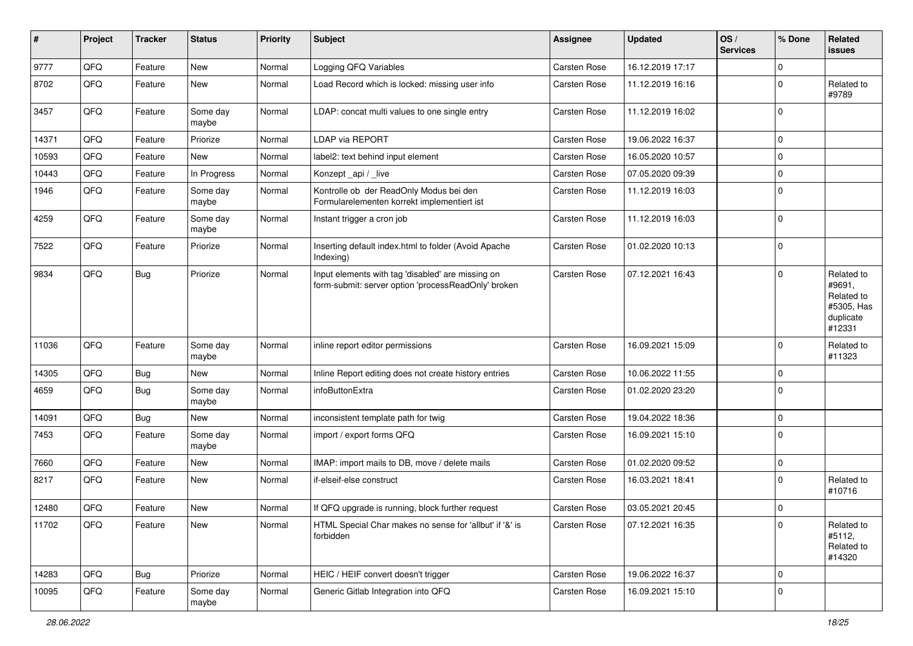| $\pmb{\#}$ | Project | <b>Tracker</b> | <b>Status</b>     | <b>Priority</b> | <b>Subject</b>                                                                                           | <b>Assignee</b>     | <b>Updated</b>   | OS/<br><b>Services</b> | % Done      | Related<br>issues                                                       |
|------------|---------|----------------|-------------------|-----------------|----------------------------------------------------------------------------------------------------------|---------------------|------------------|------------------------|-------------|-------------------------------------------------------------------------|
| 9777       | QFQ     | Feature        | <b>New</b>        | Normal          | Logging QFQ Variables                                                                                    | <b>Carsten Rose</b> | 16.12.2019 17:17 |                        | $\mathbf 0$ |                                                                         |
| 8702       | QFQ     | Feature        | New               | Normal          | Load Record which is locked: missing user info                                                           | Carsten Rose        | 11.12.2019 16:16 |                        | $\mathbf 0$ | Related to<br>#9789                                                     |
| 3457       | QFQ     | Feature        | Some day<br>maybe | Normal          | LDAP: concat multi values to one single entry                                                            | Carsten Rose        | 11.12.2019 16:02 |                        | $\mathbf 0$ |                                                                         |
| 14371      | QFQ     | Feature        | Priorize          | Normal          | <b>LDAP via REPORT</b>                                                                                   | Carsten Rose        | 19.06.2022 16:37 |                        | $\mathbf 0$ |                                                                         |
| 10593      | QFQ     | Feature        | New               | Normal          | label2: text behind input element                                                                        | Carsten Rose        | 16.05.2020 10:57 |                        | $\mathbf 0$ |                                                                         |
| 10443      | QFQ     | Feature        | In Progress       | Normal          | Konzept_api / _live                                                                                      | Carsten Rose        | 07.05.2020 09:39 |                        | $\mathbf 0$ |                                                                         |
| 1946       | QFQ     | Feature        | Some day<br>maybe | Normal          | Kontrolle ob der ReadOnly Modus bei den<br>Formularelementen korrekt implementiert ist                   | Carsten Rose        | 11.12.2019 16:03 |                        | $\Omega$    |                                                                         |
| 4259       | QFQ     | Feature        | Some day<br>maybe | Normal          | Instant trigger a cron job                                                                               | Carsten Rose        | 11.12.2019 16:03 |                        | $\mathbf 0$ |                                                                         |
| 7522       | QFQ     | Feature        | Priorize          | Normal          | Inserting default index.html to folder (Avoid Apache<br>Indexing)                                        | Carsten Rose        | 01.02.2020 10:13 |                        | $\Omega$    |                                                                         |
| 9834       | QFQ     | <b>Bug</b>     | Priorize          | Normal          | Input elements with tag 'disabled' are missing on<br>form-submit: server option 'processReadOnly' broken | Carsten Rose        | 07.12.2021 16:43 |                        | $\mathbf 0$ | Related to<br>#9691,<br>Related to<br>#5305, Has<br>duplicate<br>#12331 |
| 11036      | QFQ     | Feature        | Some day<br>maybe | Normal          | inline report editor permissions                                                                         | Carsten Rose        | 16.09.2021 15:09 |                        | $\Omega$    | Related to<br>#11323                                                    |
| 14305      | QFQ     | <b>Bug</b>     | <b>New</b>        | Normal          | Inline Report editing does not create history entries                                                    | Carsten Rose        | 10.06.2022 11:55 |                        | $\mathbf 0$ |                                                                         |
| 4659       | QFQ     | <b>Bug</b>     | Some day<br>maybe | Normal          | infoButtonExtra                                                                                          | Carsten Rose        | 01.02.2020 23:20 |                        | 0           |                                                                         |
| 14091      | QFQ     | <b>Bug</b>     | <b>New</b>        | Normal          | inconsistent template path for twig                                                                      | Carsten Rose        | 19.04.2022 18:36 |                        | $\mathbf 0$ |                                                                         |
| 7453       | QFQ     | Feature        | Some day<br>maybe | Normal          | import / export forms QFQ                                                                                | Carsten Rose        | 16.09.2021 15:10 |                        | $\Omega$    |                                                                         |
| 7660       | QFQ     | Feature        | New               | Normal          | IMAP: import mails to DB, move / delete mails                                                            | Carsten Rose        | 01.02.2020 09:52 |                        | $\mathbf 0$ |                                                                         |
| 8217       | QFQ     | Feature        | New               | Normal          | if-elseif-else construct                                                                                 | Carsten Rose        | 16.03.2021 18:41 |                        | $\mathbf 0$ | Related to<br>#10716                                                    |
| 12480      | QFQ     | Feature        | New               | Normal          | If QFQ upgrade is running, block further request                                                         | Carsten Rose        | 03.05.2021 20:45 |                        | 0           |                                                                         |
| 11702      | QFG     | Feature        | New               | Normal          | HTML Special Char makes no sense for 'allbut' if '&' is<br>forbidden                                     | Carsten Rose        | 07.12.2021 16:35 |                        | 0           | Related to<br>#5112,<br>Related to<br>#14320                            |
| 14283      | QFQ     | Bug            | Priorize          | Normal          | HEIC / HEIF convert doesn't trigger                                                                      | Carsten Rose        | 19.06.2022 16:37 |                        | 0           |                                                                         |
| 10095      | QFQ     | Feature        | Some day<br>maybe | Normal          | Generic Gitlab Integration into QFQ                                                                      | Carsten Rose        | 16.09.2021 15:10 |                        | $\pmb{0}$   |                                                                         |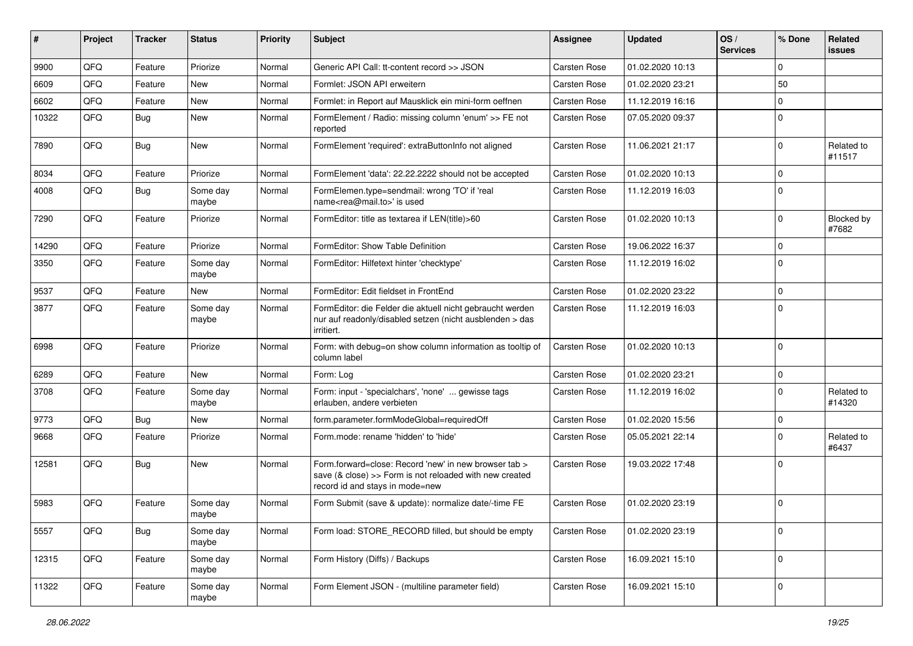| ∦     | Project | <b>Tracker</b> | <b>Status</b>     | <b>Priority</b> | <b>Subject</b>                                                                                                                                      | <b>Assignee</b>     | <b>Updated</b>   | OS/<br><b>Services</b> | % Done      | Related<br>issues    |
|-------|---------|----------------|-------------------|-----------------|-----------------------------------------------------------------------------------------------------------------------------------------------------|---------------------|------------------|------------------------|-------------|----------------------|
| 9900  | QFQ     | Feature        | Priorize          | Normal          | Generic API Call: tt-content record >> JSON                                                                                                         | <b>Carsten Rose</b> | 01.02.2020 10:13 |                        | $\Omega$    |                      |
| 6609  | QFQ     | Feature        | New               | Normal          | Formlet: JSON API erweitern                                                                                                                         | <b>Carsten Rose</b> | 01.02.2020 23:21 |                        | 50          |                      |
| 6602  | QFQ     | Feature        | <b>New</b>        | Normal          | Formlet: in Report auf Mausklick ein mini-form oeffnen                                                                                              | Carsten Rose        | 11.12.2019 16:16 |                        | $\Omega$    |                      |
| 10322 | QFQ     | Bug            | <b>New</b>        | Normal          | FormElement / Radio: missing column 'enum' >> FE not<br>reported                                                                                    | Carsten Rose        | 07.05.2020 09:37 |                        | $\Omega$    |                      |
| 7890  | QFQ     | <b>Bug</b>     | New               | Normal          | FormElement 'required': extraButtonInfo not aligned                                                                                                 | Carsten Rose        | 11.06.2021 21:17 |                        | $\Omega$    | Related to<br>#11517 |
| 8034  | QFQ     | Feature        | Priorize          | Normal          | FormElement 'data': 22.22.2222 should not be accepted                                                                                               | Carsten Rose        | 01.02.2020 10:13 |                        | $\Omega$    |                      |
| 4008  | QFQ     | Bug            | Some day<br>maybe | Normal          | FormElemen.type=sendmail: wrong 'TO' if 'real<br>name <rea@mail.to>' is used</rea@mail.to>                                                          | Carsten Rose        | 11.12.2019 16:03 |                        | $\Omega$    |                      |
| 7290  | QFQ     | Feature        | Priorize          | Normal          | FormEditor: title as textarea if LEN(title)>60                                                                                                      | <b>Carsten Rose</b> | 01.02.2020 10:13 |                        | $\Omega$    | Blocked by<br>#7682  |
| 14290 | QFQ     | Feature        | Priorize          | Normal          | FormEditor: Show Table Definition                                                                                                                   | Carsten Rose        | 19.06.2022 16:37 |                        | $\mathbf 0$ |                      |
| 3350  | QFQ     | Feature        | Some day<br>maybe | Normal          | FormEditor: Hilfetext hinter 'checktype'                                                                                                            | Carsten Rose        | 11.12.2019 16:02 |                        | $\mathbf 0$ |                      |
| 9537  | QFQ     | Feature        | New               | Normal          | FormEditor: Edit fieldset in FrontEnd                                                                                                               | Carsten Rose        | 01.02.2020 23:22 |                        | $\Omega$    |                      |
| 3877  | QFQ     | Feature        | Some day<br>maybe | Normal          | FormEditor: die Felder die aktuell nicht gebraucht werden<br>nur auf readonly/disabled setzen (nicht ausblenden > das<br>irritiert.                 | Carsten Rose        | 11.12.2019 16:03 |                        | $\Omega$    |                      |
| 6998  | QFQ     | Feature        | Priorize          | Normal          | Form: with debug=on show column information as tooltip of<br>column label                                                                           | Carsten Rose        | 01.02.2020 10:13 |                        | $\Omega$    |                      |
| 6289  | QFQ     | Feature        | <b>New</b>        | Normal          | Form: Log                                                                                                                                           | <b>Carsten Rose</b> | 01.02.2020 23:21 |                        | $\mathbf 0$ |                      |
| 3708  | QFQ     | Feature        | Some day<br>maybe | Normal          | Form: input - 'specialchars', 'none'  gewisse tags<br>erlauben, andere verbieten                                                                    | Carsten Rose        | 11.12.2019 16:02 |                        | $\mathbf 0$ | Related to<br>#14320 |
| 9773  | QFQ     | Bug            | <b>New</b>        | Normal          | form.parameter.formModeGlobal=requiredOff                                                                                                           | <b>Carsten Rose</b> | 01.02.2020 15:56 |                        | $\mathbf 0$ |                      |
| 9668  | QFQ     | Feature        | Priorize          | Normal          | Form.mode: rename 'hidden' to 'hide'                                                                                                                | Carsten Rose        | 05.05.2021 22:14 |                        | $\Omega$    | Related to<br>#6437  |
| 12581 | QFQ     | <b>Bug</b>     | <b>New</b>        | Normal          | Form.forward=close: Record 'new' in new browser tab ><br>save (& close) >> Form is not reloaded with new created<br>record id and stays in mode=new | <b>Carsten Rose</b> | 19.03.2022 17:48 |                        | $\Omega$    |                      |
| 5983  | QFQ     | Feature        | Some day<br>maybe | Normal          | Form Submit (save & update): normalize date/-time FE                                                                                                | <b>Carsten Rose</b> | 01.02.2020 23:19 |                        | $\Omega$    |                      |
| 5557  | QFQ     | <b>Bug</b>     | Some day<br>maybe | Normal          | Form load: STORE_RECORD filled, but should be empty                                                                                                 | <b>Carsten Rose</b> | 01.02.2020 23:19 |                        | $\mathbf 0$ |                      |
| 12315 | QFQ     | Feature        | Some day<br>maybe | Normal          | Form History (Diffs) / Backups                                                                                                                      | Carsten Rose        | 16.09.2021 15:10 |                        | 0           |                      |
| 11322 | QFQ     | Feature        | Some day<br>maybe | Normal          | Form Element JSON - (multiline parameter field)                                                                                                     | Carsten Rose        | 16.09.2021 15:10 |                        | 0           |                      |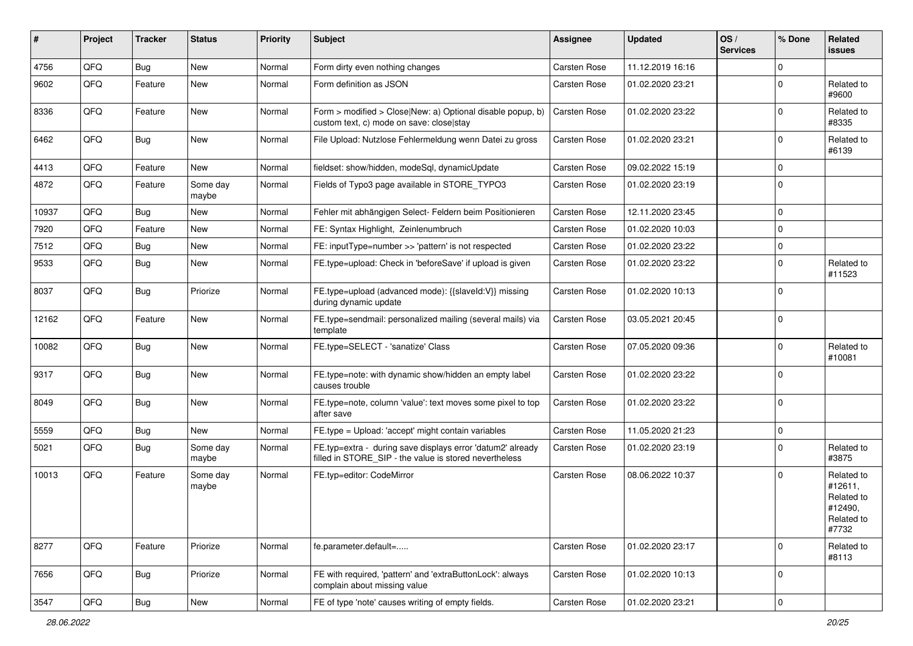| ∦     | Project | <b>Tracker</b> | <b>Status</b>     | <b>Priority</b> | Subject                                                                                                              | <b>Assignee</b> | <b>Updated</b>   | OS/<br><b>Services</b> | % Done      | Related<br>issues                                                     |
|-------|---------|----------------|-------------------|-----------------|----------------------------------------------------------------------------------------------------------------------|-----------------|------------------|------------------------|-------------|-----------------------------------------------------------------------|
| 4756  | QFQ     | <b>Bug</b>     | <b>New</b>        | Normal          | Form dirty even nothing changes                                                                                      | Carsten Rose    | 11.12.2019 16:16 |                        | $\mathbf 0$ |                                                                       |
| 9602  | QFQ     | Feature        | New               | Normal          | Form definition as JSON                                                                                              | Carsten Rose    | 01.02.2020 23:21 |                        | 0           | Related to<br>#9600                                                   |
| 8336  | QFQ     | Feature        | <b>New</b>        | Normal          | Form > modified > Close New: a) Optional disable popup, b)<br>custom text, c) mode on save: close stay               | Carsten Rose    | 01.02.2020 23:22 |                        | $\mathbf 0$ | Related to<br>#8335                                                   |
| 6462  | QFQ     | <b>Bug</b>     | <b>New</b>        | Normal          | File Upload: Nutzlose Fehlermeldung wenn Datei zu gross                                                              | Carsten Rose    | 01.02.2020 23:21 |                        | $\mathbf 0$ | Related to<br>#6139                                                   |
| 4413  | QFQ     | Feature        | <b>New</b>        | Normal          | fieldset: show/hidden, modeSql, dynamicUpdate                                                                        | Carsten Rose    | 09.02.2022 15:19 |                        | $\mathbf 0$ |                                                                       |
| 4872  | QFQ     | Feature        | Some day<br>maybe | Normal          | Fields of Typo3 page available in STORE TYPO3                                                                        | Carsten Rose    | 01.02.2020 23:19 |                        | $\mathbf 0$ |                                                                       |
| 10937 | QFQ     | <b>Bug</b>     | <b>New</b>        | Normal          | Fehler mit abhängigen Select- Feldern beim Positionieren                                                             | Carsten Rose    | 12.11.2020 23:45 |                        | $\mathbf 0$ |                                                                       |
| 7920  | QFQ     | Feature        | <b>New</b>        | Normal          | FE: Syntax Highlight, Zeinlenumbruch                                                                                 | Carsten Rose    | 01.02.2020 10:03 |                        | $\mathbf 0$ |                                                                       |
| 7512  | QFQ     | <b>Bug</b>     | <b>New</b>        | Normal          | FE: inputType=number >> 'pattern' is not respected                                                                   | Carsten Rose    | 01.02.2020 23:22 |                        | $\mathbf 0$ |                                                                       |
| 9533  | QFQ     | <b>Bug</b>     | <b>New</b>        | Normal          | FE.type=upload: Check in 'beforeSave' if upload is given                                                             | Carsten Rose    | 01.02.2020 23:22 |                        | $\mathbf 0$ | Related to<br>#11523                                                  |
| 8037  | QFQ     | Bug            | Priorize          | Normal          | FE.type=upload (advanced mode): {{slaveId:V}} missing<br>during dynamic update                                       | Carsten Rose    | 01.02.2020 10:13 |                        | $\Omega$    |                                                                       |
| 12162 | QFQ     | Feature        | <b>New</b>        | Normal          | FE.type=sendmail: personalized mailing (several mails) via<br>template                                               | Carsten Rose    | 03.05.2021 20:45 |                        | $\mathbf 0$ |                                                                       |
| 10082 | QFQ     | <b>Bug</b>     | <b>New</b>        | Normal          | FE.type=SELECT - 'sanatize' Class                                                                                    | Carsten Rose    | 07.05.2020 09:36 |                        | $\mathbf 0$ | Related to<br>#10081                                                  |
| 9317  | QFQ     | <b>Bug</b>     | <b>New</b>        | Normal          | FE.type=note: with dynamic show/hidden an empty label<br>causes trouble                                              | Carsten Rose    | 01.02.2020 23:22 |                        | $\mathbf 0$ |                                                                       |
| 8049  | QFQ     | Bug            | <b>New</b>        | Normal          | FE.type=note, column 'value': text moves some pixel to top<br>after save                                             | Carsten Rose    | 01.02.2020 23:22 |                        | $\mathbf 0$ |                                                                       |
| 5559  | QFQ     | Bug            | <b>New</b>        | Normal          | FE.type = Upload: 'accept' might contain variables                                                                   | Carsten Rose    | 11.05.2020 21:23 |                        | $\mathbf 0$ |                                                                       |
| 5021  | QFQ     | <b>Bug</b>     | Some day<br>maybe | Normal          | FE.typ=extra - during save displays error 'datum2' already<br>filled in STORE_SIP - the value is stored nevertheless | Carsten Rose    | 01.02.2020 23:19 |                        | $\Omega$    | Related to<br>#3875                                                   |
| 10013 | QFQ     | Feature        | Some day<br>maybe | Normal          | FE.tvp=editor: CodeMirror                                                                                            | Carsten Rose    | 08.06.2022 10:37 |                        | $\mathbf 0$ | Related to<br>#12611,<br>Related to<br>#12490,<br>Related to<br>#7732 |
| 8277  | QFQ     | Feature        | Priorize          | Normal          | fe.parameter.default=                                                                                                | Carsten Rose    | 01.02.2020 23:17 |                        | 0           | Related to<br>#8113                                                   |
| 7656  | QFQ     | <b>Bug</b>     | Priorize          | Normal          | FE with required, 'pattern' and 'extraButtonLock': always<br>complain about missing value                            | Carsten Rose    | 01.02.2020 10:13 |                        | 0           |                                                                       |
| 3547  | QFQ     | <b>Bug</b>     | New               | Normal          | FE of type 'note' causes writing of empty fields.                                                                    | Carsten Rose    | 01.02.2020 23:21 |                        | $\pmb{0}$   |                                                                       |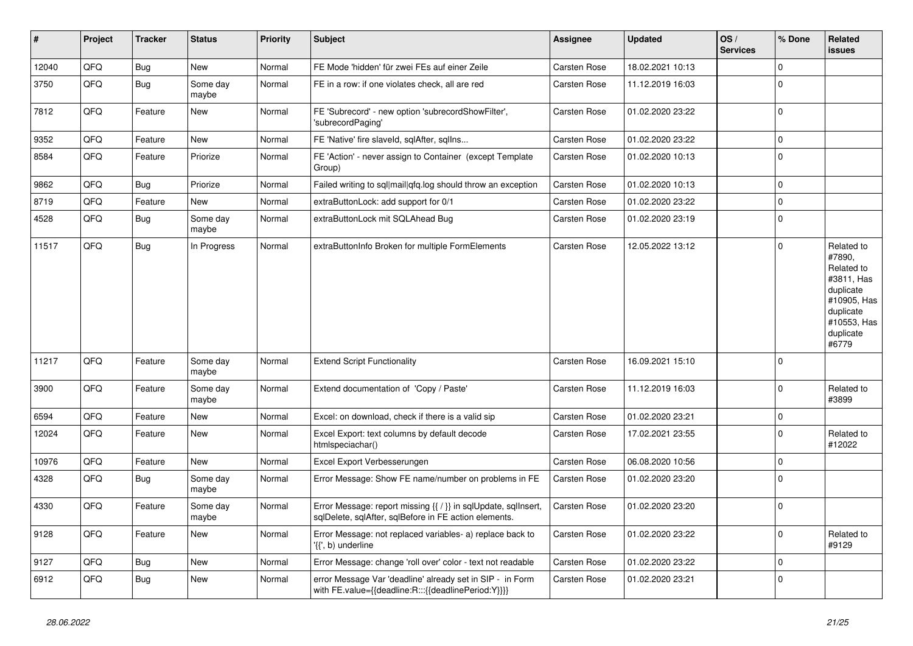| $\vert$ # | Project | <b>Tracker</b> | <b>Status</b>     | <b>Priority</b> | <b>Subject</b>                                                                                                          | Assignee            | <b>Updated</b>   | OS/<br><b>Services</b> | % Done      | Related<br>issues                                                                                                              |
|-----------|---------|----------------|-------------------|-----------------|-------------------------------------------------------------------------------------------------------------------------|---------------------|------------------|------------------------|-------------|--------------------------------------------------------------------------------------------------------------------------------|
| 12040     | QFQ     | Bug            | <b>New</b>        | Normal          | FE Mode 'hidden' für zwei FEs auf einer Zeile                                                                           | Carsten Rose        | 18.02.2021 10:13 |                        | $\Omega$    |                                                                                                                                |
| 3750      | QFQ     | <b>Bug</b>     | Some day<br>maybe | Normal          | FE in a row: if one violates check, all are red                                                                         | <b>Carsten Rose</b> | 11.12.2019 16:03 |                        | $\Omega$    |                                                                                                                                |
| 7812      | QFQ     | Feature        | <b>New</b>        | Normal          | FE 'Subrecord' - new option 'subrecordShowFilter',<br>'subrecordPaging'                                                 | <b>Carsten Rose</b> | 01.02.2020 23:22 |                        | $\Omega$    |                                                                                                                                |
| 9352      | QFQ     | Feature        | <b>New</b>        | Normal          | FE 'Native' fire slaveld, sqlAfter, sqlIns                                                                              | <b>Carsten Rose</b> | 01.02.2020 23:22 |                        | $\Omega$    |                                                                                                                                |
| 8584      | QFQ     | Feature        | Priorize          | Normal          | FE 'Action' - never assign to Container (except Template<br>Group)                                                      | <b>Carsten Rose</b> | 01.02.2020 10:13 |                        | $\Omega$    |                                                                                                                                |
| 9862      | QFQ     | Bug            | Priorize          | Normal          | Failed writing to sql mail qfq.log should throw an exception                                                            | Carsten Rose        | 01.02.2020 10:13 |                        | $\Omega$    |                                                                                                                                |
| 8719      | QFQ     | Feature        | <b>New</b>        | Normal          | extraButtonLock: add support for 0/1                                                                                    | Carsten Rose        | 01.02.2020 23:22 |                        | 0           |                                                                                                                                |
| 4528      | QFQ     | Bug            | Some day<br>maybe | Normal          | extraButtonLock mit SQLAhead Bug                                                                                        | <b>Carsten Rose</b> | 01.02.2020 23:19 |                        | $\Omega$    |                                                                                                                                |
| 11517     | QFQ     | <b>Bug</b>     | In Progress       | Normal          | extraButtonInfo Broken for multiple FormElements                                                                        | <b>Carsten Rose</b> | 12.05.2022 13:12 |                        | $\Omega$    | Related to<br>#7890,<br>Related to<br>#3811, Has<br>duplicate<br>#10905, Has<br>duplicate<br>#10553, Has<br>duplicate<br>#6779 |
| 11217     | QFQ     | Feature        | Some day<br>maybe | Normal          | <b>Extend Script Functionality</b>                                                                                      | <b>Carsten Rose</b> | 16.09.2021 15:10 |                        | $\Omega$    |                                                                                                                                |
| 3900      | QFQ     | Feature        | Some day<br>maybe | Normal          | Extend documentation of 'Copy / Paste'                                                                                  | Carsten Rose        | 11.12.2019 16:03 |                        | $\Omega$    | Related to<br>#3899                                                                                                            |
| 6594      | QFQ     | Feature        | <b>New</b>        | Normal          | Excel: on download, check if there is a valid sip                                                                       | Carsten Rose        | 01.02.2020 23:21 |                        | $\Omega$    |                                                                                                                                |
| 12024     | QFQ     | Feature        | <b>New</b>        | Normal          | Excel Export: text columns by default decode<br>htmlspeciachar()                                                        | Carsten Rose        | 17.02.2021 23:55 |                        | $\Omega$    | Related to<br>#12022                                                                                                           |
| 10976     | QFQ     | Feature        | <b>New</b>        | Normal          | Excel Export Verbesserungen                                                                                             | <b>Carsten Rose</b> | 06.08.2020 10:56 |                        | $\Omega$    |                                                                                                                                |
| 4328      | QFQ     | <b>Bug</b>     | Some day<br>maybe | Normal          | Error Message: Show FE name/number on problems in FE                                                                    | <b>Carsten Rose</b> | 01.02.2020 23:20 |                        | $\Omega$    |                                                                                                                                |
| 4330      | QFQ     | Feature        | Some day<br>maybe | Normal          | Error Message: report missing {{ / }} in sqlUpdate, sqlInsert,<br>sqlDelete, sqlAfter, sqlBefore in FE action elements. | Carsten Rose        | 01.02.2020 23:20 |                        | $\Omega$    |                                                                                                                                |
| 9128      | QFQ     | Feature        | <b>New</b>        | Normal          | Error Message: not replaced variables- a) replace back to<br>'{{', b) underline                                         | Carsten Rose        | 01.02.2020 23:22 |                        | $\mathbf 0$ | Related to<br>#9129                                                                                                            |
| 9127      | QFQ     | <b>Bug</b>     | <b>New</b>        | Normal          | Error Message: change 'roll over' color - text not readable                                                             | Carsten Rose        | 01.02.2020 23:22 |                        | $\Omega$    |                                                                                                                                |
| 6912      | QFQ     | <b>Bug</b>     | <b>New</b>        | Normal          | error Message Var 'deadline' already set in SIP - in Form<br>with FE.value={{deadline:R:::{{deadlinePeriod:Y}}}}        | <b>Carsten Rose</b> | 01.02.2020 23:21 |                        | $\Omega$    |                                                                                                                                |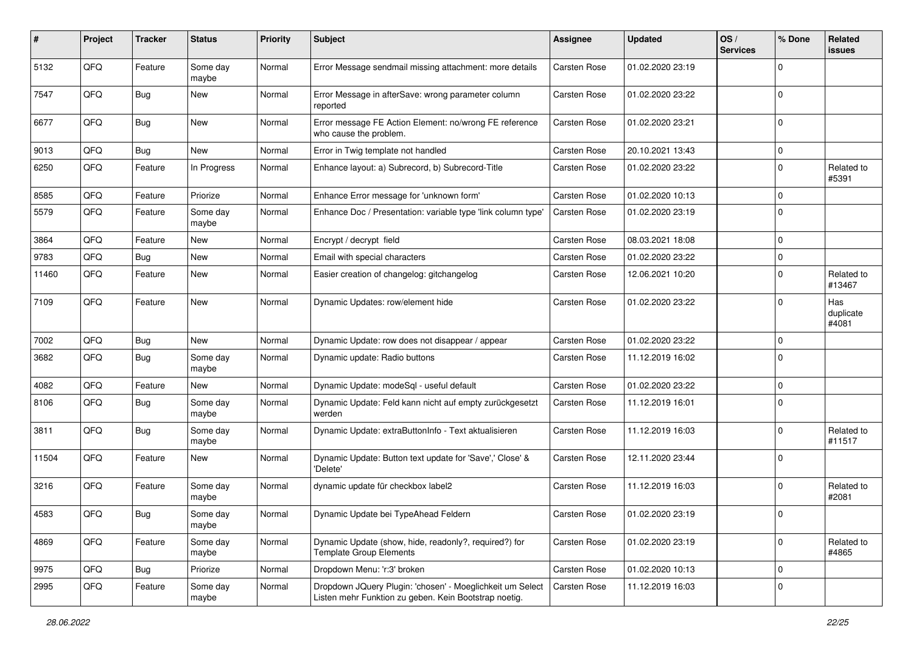| #     | Project | <b>Tracker</b> | <b>Status</b>     | <b>Priority</b> | Subject                                                                                                            | <b>Assignee</b>     | <b>Updated</b>   | OS/<br><b>Services</b> | % Done         | Related<br>issues         |
|-------|---------|----------------|-------------------|-----------------|--------------------------------------------------------------------------------------------------------------------|---------------------|------------------|------------------------|----------------|---------------------------|
| 5132  | QFQ     | Feature        | Some day<br>maybe | Normal          | Error Message sendmail missing attachment: more details                                                            | Carsten Rose        | 01.02.2020 23:19 |                        | $\Omega$       |                           |
| 7547  | QFQ     | Bug            | New               | Normal          | Error Message in afterSave: wrong parameter column<br>reported                                                     | Carsten Rose        | 01.02.2020 23:22 |                        | $\mathbf 0$    |                           |
| 6677  | QFQ     | Bug            | <b>New</b>        | Normal          | Error message FE Action Element: no/wrong FE reference<br>who cause the problem.                                   | Carsten Rose        | 01.02.2020 23:21 |                        | $\Omega$       |                           |
| 9013  | QFQ     | Bug            | <b>New</b>        | Normal          | Error in Twig template not handled                                                                                 | Carsten Rose        | 20.10.2021 13:43 |                        | 0              |                           |
| 6250  | QFQ     | Feature        | In Progress       | Normal          | Enhance layout: a) Subrecord, b) Subrecord-Title                                                                   | Carsten Rose        | 01.02.2020 23:22 |                        | $\Omega$       | Related to<br>#5391       |
| 8585  | QFQ     | Feature        | Priorize          | Normal          | Enhance Error message for 'unknown form'                                                                           | Carsten Rose        | 01.02.2020 10:13 |                        | $\Omega$       |                           |
| 5579  | QFQ     | Feature        | Some day<br>maybe | Normal          | Enhance Doc / Presentation: variable type 'link column type'                                                       | <b>Carsten Rose</b> | 01.02.2020 23:19 |                        | 0              |                           |
| 3864  | QFQ     | Feature        | <b>New</b>        | Normal          | Encrypt / decrypt field                                                                                            | Carsten Rose        | 08.03.2021 18:08 |                        | $\Omega$       |                           |
| 9783  | QFQ     | Bug            | <b>New</b>        | Normal          | Email with special characters                                                                                      | Carsten Rose        | 01.02.2020 23:22 |                        | $\Omega$       |                           |
| 11460 | QFQ     | Feature        | New               | Normal          | Easier creation of changelog: gitchangelog                                                                         | Carsten Rose        | 12.06.2021 10:20 |                        | $\Omega$       | Related to<br>#13467      |
| 7109  | QFQ     | Feature        | <b>New</b>        | Normal          | Dynamic Updates: row/element hide                                                                                  | Carsten Rose        | 01.02.2020 23:22 |                        | $\Omega$       | Has<br>duplicate<br>#4081 |
| 7002  | QFQ     | <b>Bug</b>     | <b>New</b>        | Normal          | Dynamic Update: row does not disappear / appear                                                                    | Carsten Rose        | 01.02.2020 23:22 |                        | $\Omega$       |                           |
| 3682  | QFQ     | Bug            | Some day<br>maybe | Normal          | Dynamic update: Radio buttons                                                                                      | Carsten Rose        | 11.12.2019 16:02 |                        | $\Omega$       |                           |
| 4082  | QFQ     | Feature        | <b>New</b>        | Normal          | Dynamic Update: modeSql - useful default                                                                           | Carsten Rose        | 01.02.2020 23:22 |                        | 0              |                           |
| 8106  | QFQ     | Bug            | Some day<br>maybe | Normal          | Dynamic Update: Feld kann nicht auf empty zurückgesetzt<br>werden                                                  | Carsten Rose        | 11.12.2019 16:01 |                        | $\Omega$       |                           |
| 3811  | QFQ     | Bug            | Some day<br>maybe | Normal          | Dynamic Update: extraButtonInfo - Text aktualisieren                                                               | Carsten Rose        | 11.12.2019 16:03 |                        | $\Omega$       | Related to<br>#11517      |
| 11504 | QFQ     | Feature        | <b>New</b>        | Normal          | Dynamic Update: Button text update for 'Save',' Close' &<br>'Delete'                                               | Carsten Rose        | 12.11.2020 23:44 |                        | $\mathbf 0$    |                           |
| 3216  | QFQ     | Feature        | Some day<br>maybe | Normal          | dynamic update für checkbox label2                                                                                 | Carsten Rose        | 11.12.2019 16:03 |                        | $\Omega$       | Related to<br>#2081       |
| 4583  | QFQ     | Bug            | Some day<br>maybe | Normal          | Dynamic Update bei TypeAhead Feldern                                                                               | Carsten Rose        | 01.02.2020 23:19 |                        | $\overline{0}$ |                           |
| 4869  | QFQ     | Feature        | Some day<br>maybe | Normal          | Dynamic Update (show, hide, readonly?, required?) for<br><b>Template Group Elements</b>                            | Carsten Rose        | 01.02.2020 23:19 |                        | $\Omega$       | Related to<br>#4865       |
| 9975  | QFQ     | <b>Bug</b>     | Priorize          | Normal          | Dropdown Menu: 'r:3' broken                                                                                        | Carsten Rose        | 01.02.2020 10:13 |                        | $\mathbf 0$    |                           |
| 2995  | QFQ     | Feature        | Some day<br>maybe | Normal          | Dropdown JQuery Plugin: 'chosen' - Moeglichkeit um Select<br>Listen mehr Funktion zu geben. Kein Bootstrap noetig. | <b>Carsten Rose</b> | 11.12.2019 16:03 |                        | 0              |                           |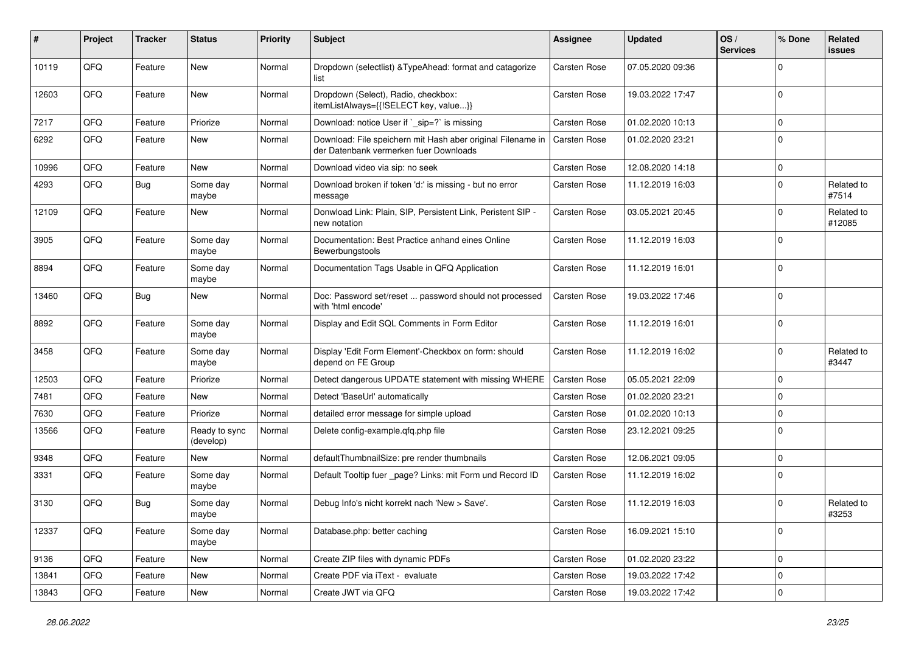| #     | Project | <b>Tracker</b> | <b>Status</b>              | <b>Priority</b> | <b>Subject</b>                                                                                        | Assignee            | <b>Updated</b>   | OS/<br><b>Services</b> | % Done      | Related<br>issues    |
|-------|---------|----------------|----------------------------|-----------------|-------------------------------------------------------------------------------------------------------|---------------------|------------------|------------------------|-------------|----------------------|
| 10119 | QFQ     | Feature        | New                        | Normal          | Dropdown (selectlist) & TypeAhead: format and catagorize<br>list                                      | <b>Carsten Rose</b> | 07.05.2020 09:36 |                        | 0           |                      |
| 12603 | QFQ     | Feature        | New                        | Normal          | Dropdown (Select), Radio, checkbox:<br>itemListAlways={{!SELECT key, value}}                          | <b>Carsten Rose</b> | 19.03.2022 17:47 |                        | $\Omega$    |                      |
| 7217  | QFQ     | Feature        | Priorize                   | Normal          | Download: notice User if `_sip=?` is missing                                                          | Carsten Rose        | 01.02.2020 10:13 |                        | $\Omega$    |                      |
| 6292  | QFQ     | Feature        | New                        | Normal          | Download: File speichern mit Hash aber original Filename in<br>der Datenbank vermerken fuer Downloads | <b>Carsten Rose</b> | 01.02.2020 23:21 |                        | $\Omega$    |                      |
| 10996 | QFQ     | Feature        | <b>New</b>                 | Normal          | Download video via sip: no seek                                                                       | Carsten Rose        | 12.08.2020 14:18 |                        | $\Omega$    |                      |
| 4293  | QFQ     | Bug            | Some day<br>maybe          | Normal          | Download broken if token 'd:' is missing - but no error<br>message                                    | Carsten Rose        | 11.12.2019 16:03 |                        | $\Omega$    | Related to<br>#7514  |
| 12109 | QFQ     | Feature        | <b>New</b>                 | Normal          | Donwload Link: Plain, SIP, Persistent Link, Peristent SIP -<br>new notation                           | <b>Carsten Rose</b> | 03.05.2021 20:45 |                        | 0           | Related to<br>#12085 |
| 3905  | QFQ     | Feature        | Some day<br>maybe          | Normal          | Documentation: Best Practice anhand eines Online<br>Bewerbungstools                                   | Carsten Rose        | 11.12.2019 16:03 |                        | $\Omega$    |                      |
| 8894  | QFQ     | Feature        | Some day<br>maybe          | Normal          | Documentation Tags Usable in QFQ Application                                                          | Carsten Rose        | 11.12.2019 16:01 |                        | $\Omega$    |                      |
| 13460 | QFQ     | Bug            | New                        | Normal          | Doc: Password set/reset  password should not processed<br>with 'html encode'                          | Carsten Rose        | 19.03.2022 17:46 |                        | $\Omega$    |                      |
| 8892  | QFQ     | Feature        | Some day<br>maybe          | Normal          | Display and Edit SQL Comments in Form Editor                                                          | Carsten Rose        | 11.12.2019 16:01 |                        | $\Omega$    |                      |
| 3458  | QFQ     | Feature        | Some day<br>maybe          | Normal          | Display 'Edit Form Element'-Checkbox on form: should<br>depend on FE Group                            | <b>Carsten Rose</b> | 11.12.2019 16:02 |                        | 0           | Related to<br>#3447  |
| 12503 | QFQ     | Feature        | Priorize                   | Normal          | Detect dangerous UPDATE statement with missing WHERE                                                  | <b>Carsten Rose</b> | 05.05.2021 22:09 |                        | 0           |                      |
| 7481  | QFQ     | Feature        | New                        | Normal          | Detect 'BaseUrl' automatically                                                                        | Carsten Rose        | 01.02.2020 23:21 |                        | $\Omega$    |                      |
| 7630  | QFQ     | Feature        | Priorize                   | Normal          | detailed error message for simple upload                                                              | Carsten Rose        | 01.02.2020 10:13 |                        | $\Omega$    |                      |
| 13566 | QFQ     | Feature        | Ready to sync<br>(develop) | Normal          | Delete config-example.qfq.php file                                                                    | Carsten Rose        | 23.12.2021 09:25 |                        | $\Omega$    |                      |
| 9348  | QFQ     | Feature        | New                        | Normal          | defaultThumbnailSize: pre render thumbnails                                                           | Carsten Rose        | 12.06.2021 09:05 |                        | 0           |                      |
| 3331  | QFQ     | Feature        | Some day<br>maybe          | Normal          | Default Tooltip fuer _page? Links: mit Form und Record ID                                             | Carsten Rose        | 11.12.2019 16:02 |                        | $\Omega$    |                      |
| 3130  | QFQ     | Bug            | Some day<br>maybe          | Normal          | Debug Info's nicht korrekt nach 'New > Save'.                                                         | Carsten Rose        | 11.12.2019 16:03 |                        | $\Omega$    | Related to<br>#3253  |
| 12337 | QFQ     | Feature        | Some day<br>maybe          | Normal          | Database.php: better caching                                                                          | Carsten Rose        | 16.09.2021 15:10 |                        | $\mathbf 0$ |                      |
| 9136  | QFQ     | Feature        | New                        | Normal          | Create ZIP files with dynamic PDFs                                                                    | Carsten Rose        | 01.02.2020 23:22 |                        | 0           |                      |
| 13841 | QFQ     | Feature        | New                        | Normal          | Create PDF via iText - evaluate                                                                       | Carsten Rose        | 19.03.2022 17:42 |                        | $\mathbf 0$ |                      |
| 13843 | QFQ     | Feature        | New                        | Normal          | Create JWT via QFQ                                                                                    | Carsten Rose        | 19.03.2022 17:42 |                        | 0           |                      |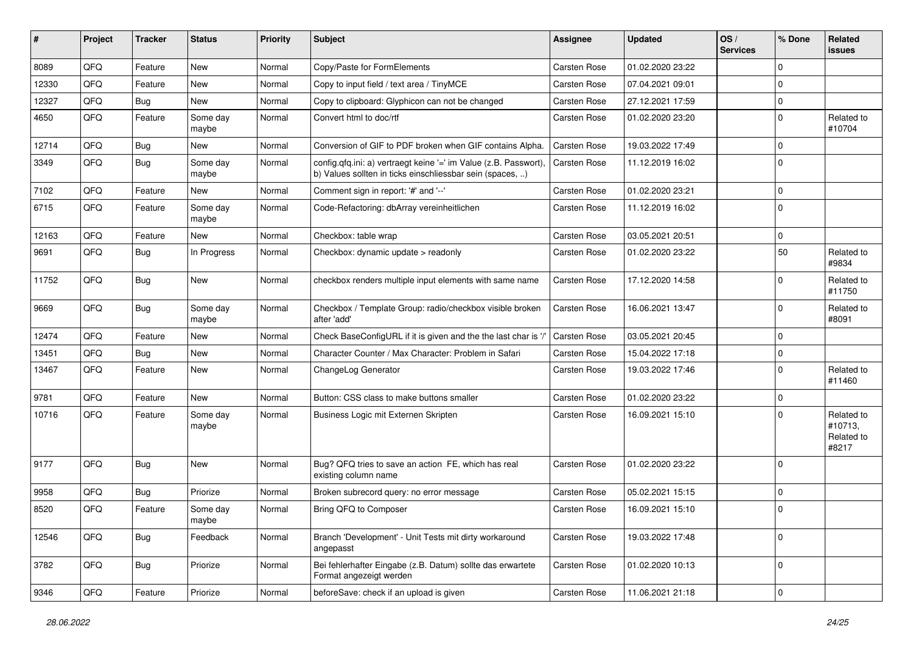| #     | Project | <b>Tracker</b> | <b>Status</b>     | <b>Priority</b> | Subject                                                                                                                       | <b>Assignee</b>     | <b>Updated</b>   | OS/<br><b>Services</b> | % Done         | Related<br>issues                            |
|-------|---------|----------------|-------------------|-----------------|-------------------------------------------------------------------------------------------------------------------------------|---------------------|------------------|------------------------|----------------|----------------------------------------------|
| 8089  | QFQ     | Feature        | <b>New</b>        | Normal          | Copy/Paste for FormElements                                                                                                   | Carsten Rose        | 01.02.2020 23:22 |                        | $\mathbf 0$    |                                              |
| 12330 | QFQ     | Feature        | New               | Normal          | Copy to input field / text area / TinyMCE                                                                                     | Carsten Rose        | 07.04.2021 09:01 |                        | $\Omega$       |                                              |
| 12327 | QFQ     | <b>Bug</b>     | New               | Normal          | Copy to clipboard: Glyphicon can not be changed                                                                               | Carsten Rose        | 27.12.2021 17:59 |                        | $\mathbf 0$    |                                              |
| 4650  | QFQ     | Feature        | Some day<br>maybe | Normal          | Convert html to doc/rtf                                                                                                       | Carsten Rose        | 01.02.2020 23:20 |                        | $\mathbf 0$    | Related to<br>#10704                         |
| 12714 | QFQ     | <b>Bug</b>     | <b>New</b>        | Normal          | Conversion of GIF to PDF broken when GIF contains Alpha.                                                                      | Carsten Rose        | 19.03.2022 17:49 |                        | $\Omega$       |                                              |
| 3349  | QFQ     | Bug            | Some day<br>maybe | Normal          | config.qfq.ini: a) vertraegt keine '=' im Value (z.B. Passwort),<br>b) Values sollten in ticks einschliessbar sein (spaces, ) | Carsten Rose        | 11.12.2019 16:02 |                        | 0              |                                              |
| 7102  | QFQ     | Feature        | <b>New</b>        | Normal          | Comment sign in report: '#' and '--'                                                                                          | Carsten Rose        | 01.02.2020 23:21 |                        | $\mathbf 0$    |                                              |
| 6715  | QFQ     | Feature        | Some day<br>maybe | Normal          | Code-Refactoring: dbArray vereinheitlichen                                                                                    | Carsten Rose        | 11.12.2019 16:02 |                        | $\Omega$       |                                              |
| 12163 | QFQ     | Feature        | <b>New</b>        | Normal          | Checkbox: table wrap                                                                                                          | Carsten Rose        | 03.05.2021 20:51 |                        | $\mathbf 0$    |                                              |
| 9691  | QFQ     | Bug            | In Progress       | Normal          | Checkbox: dynamic update > readonly                                                                                           | Carsten Rose        | 01.02.2020 23:22 |                        | 50             | Related to<br>#9834                          |
| 11752 | QFQ     | <b>Bug</b>     | New               | Normal          | checkbox renders multiple input elements with same name                                                                       | Carsten Rose        | 17.12.2020 14:58 |                        | $\Omega$       | Related to<br>#11750                         |
| 9669  | QFQ     | Bug            | Some day<br>maybe | Normal          | Checkbox / Template Group: radio/checkbox visible broken<br>after 'add'                                                       | Carsten Rose        | 16.06.2021 13:47 |                        | $\Omega$       | Related to<br>#8091                          |
| 12474 | QFQ     | Feature        | New               | Normal          | Check BaseConfigURL if it is given and the the last char is '/'                                                               | Carsten Rose        | 03.05.2021 20:45 |                        | $\mathbf 0$    |                                              |
| 13451 | QFQ     | Bug            | New               | Normal          | Character Counter / Max Character: Problem in Safari                                                                          | <b>Carsten Rose</b> | 15.04.2022 17:18 |                        | 0              |                                              |
| 13467 | QFQ     | Feature        | New               | Normal          | ChangeLog Generator                                                                                                           | Carsten Rose        | 19.03.2022 17:46 |                        | $\Omega$       | Related to<br>#11460                         |
| 9781  | QFQ     | Feature        | <b>New</b>        | Normal          | Button: CSS class to make buttons smaller                                                                                     | Carsten Rose        | 01.02.2020 23:22 |                        | $\mathbf 0$    |                                              |
| 10716 | QFQ     | Feature        | Some day<br>maybe | Normal          | Business Logic mit Externen Skripten                                                                                          | Carsten Rose        | 16.09.2021 15:10 |                        | $\Omega$       | Related to<br>#10713,<br>Related to<br>#8217 |
| 9177  | QFQ     | <b>Bug</b>     | <b>New</b>        | Normal          | Bug? QFQ tries to save an action FE, which has real<br>existing column name                                                   | Carsten Rose        | 01.02.2020 23:22 |                        | $\Omega$       |                                              |
| 9958  | QFQ     | Bug            | Priorize          | Normal          | Broken subrecord query: no error message                                                                                      | <b>Carsten Rose</b> | 05.02.2021 15:15 |                        | $\mathbf 0$    |                                              |
| 8520  | QFQ     | Feature        | Some day<br>maybe | Normal          | Bring QFQ to Composer                                                                                                         | Carsten Rose        | 16.09.2021 15:10 |                        | 0              |                                              |
| 12546 | QFQ     | Bug            | Feedback          | Normal          | Branch 'Development' - Unit Tests mit dirty workaround<br>angepasst                                                           | Carsten Rose        | 19.03.2022 17:48 |                        | $\mathbf 0$    |                                              |
| 3782  | QFG     | Bug            | Priorize          | Normal          | Bei fehlerhafter Eingabe (z.B. Datum) sollte das erwartete<br>Format angezeigt werden                                         | Carsten Rose        | 01.02.2020 10:13 |                        | $\mathbf 0$    |                                              |
| 9346  | QFG     | Feature        | Priorize          | Normal          | beforeSave: check if an upload is given                                                                                       | Carsten Rose        | 11.06.2021 21:18 |                        | $\overline{0}$ |                                              |